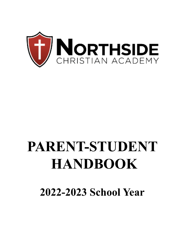

# **PARENT-STUDENT HANDBOOK**

**2022-2023 School Year**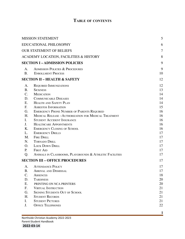# **TABLE OF CONTENTS**

| <b>MISSION STATEMENT</b>                |                                                             | 5  |
|-----------------------------------------|-------------------------------------------------------------|----|
| EDUCATIONAL PHILOSOPHY                  | 6                                                           |    |
| <b>OUR STATEMENT OF BELIEFS</b>         | $\overline{7}$                                              |    |
| ACADEMY LOCATION, FACILITIES & HISTORY  | 8                                                           |    |
|                                         | <b>SECTION I-ADMISSION POLICIES</b>                         | 9  |
| A.                                      | <b>ADMISSION POLICIES &amp; PROCEDURES</b>                  | 9  |
| <b>B.</b>                               | <b>ENROLLMENT PROCESS</b>                                   | 10 |
| <b>SECTION II - HEALTH &amp; SAFETY</b> | 12                                                          |    |
| А.                                      | <b>REQUIRED IMMUNIZATIONS</b>                               | 12 |
| <b>B.</b>                               | <b>SICKNESS</b>                                             | 13 |
| C.                                      | <b>MEDICATION</b>                                           | 14 |
| D.                                      | <b>COMMUNICABLE DISEASES</b>                                | 14 |
| Е.                                      | <b>HEALTH AND SAFETY PLAN</b>                               | 14 |
| F.                                      | <b>ASBESTOS INFORMATION</b>                                 | 15 |
| G.                                      | <b>EMERGENCY PHONE NUMBER OF PARENTS REQUIRED</b>           | 16 |
| Н.                                      | <b>MEDICAL RELEASE -AUTHORIZATION FOR MEDICAL TREATMENT</b> | 16 |
| I.                                      | <b>STUDENT ACCIDENT INSURANCE</b>                           | 16 |
| J.                                      | <b>HEALTHCARE APPOINTMENTS</b>                              | 16 |
| Κ.                                      | <b>EMERGENCY CLOSING OF SCHOOL</b>                          | 16 |
| L.                                      | <b>EMERGENCY DRILLS</b>                                     | 17 |
| M.                                      | <b>FIRE DRILL</b>                                           | 17 |
| N.                                      | <b>TORNADO DRILL</b>                                        | 17 |
| O.                                      | <b>LOCK DOWN DRILL</b>                                      | 17 |
| Р.                                      | <b>FIRST AID</b>                                            | 17 |
| Q.                                      | ANIMALS IN CLASSROOMS, PLAYGROUNDS & ATHLETIC FACILITIES    | 17 |
|                                         | <b>SECTION III - OFFICE PROCEDURES</b>                      | 17 |
| A.                                      | <b>ATTENDANCE POLICY</b>                                    | 17 |
| Β.                                      | <b>ARRIVAL AND DISMISSAL</b>                                | 17 |
| C.                                      | ABSENCES                                                    | 18 |
| D.                                      | <b>TARDINESS</b>                                            | 20 |
| Е.                                      | PRINTING ON NCA PRINTERS                                    | 20 |
| F.                                      | <b>VIRTUAL INSTRUCTION</b>                                  | 21 |
| G.                                      | <b>SIGNING STUDENTS OUT OF SCHOOL</b>                       | 21 |
| Η.                                      | <b>STUDENT RECORDS</b>                                      | 21 |
| I.                                      | <b>STUDENT PICTURES</b>                                     | 21 |
| J.                                      | <b>OFFICE TELEPHONES</b>                                    | 22 |
|                                         |                                                             |    |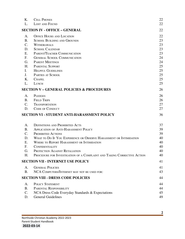| K.                                                 | <b>CELL PHONES</b>                                                      | 22 |
|----------------------------------------------------|-------------------------------------------------------------------------|----|
| L.                                                 | LOST AND FOUND                                                          | 22 |
|                                                    | <b>SECTION IV - OFFICE - GENERAL</b>                                    | 22 |
| A.                                                 | <b>OFFICE HOURS AND LOCATION</b>                                        | 22 |
| <b>B.</b>                                          | <b>SCHOOL BUILDING AND GROUNDS</b>                                      | 23 |
| C.                                                 | <b>WITHDRAWALS</b>                                                      | 23 |
| D.                                                 | <b>SCHOOL CALENDAR</b>                                                  | 23 |
| Е.                                                 | PARENT/TEACHER COMMUNICATION                                            | 23 |
| F.                                                 | <b>GENERAL SCHOOL COMMUNICATION</b>                                     | 24 |
| G.                                                 | <b>PARENT MEETINGS</b>                                                  | 24 |
| Η.                                                 | <b>PARENTAL SUPPORT</b>                                                 | 25 |
| I.                                                 | <b>HELPFUL GUIDELINES</b>                                               | 25 |
| J.                                                 | PARTIES AT SCHOOL                                                       | 25 |
| Κ.                                                 | <b>CHAPEL</b>                                                           | 25 |
| L.                                                 | LUNCH                                                                   | 25 |
|                                                    | <b>SECTION V - GENERAL POLICIES &amp; PROCEDURES</b>                    | 26 |
| A.                                                 | <b>PLEDGES</b>                                                          | 26 |
| B.                                                 | <b>FIELD TRIPS</b>                                                      | 26 |
| C.                                                 | <b>TRANSPORTATION</b>                                                   | 27 |
| D.                                                 | <b>CODE OF CONDUCT</b>                                                  | 27 |
| <b>SECTION VI - STUDENT ANTI-HARASSMENT POLICY</b> |                                                                         | 36 |
| А.                                                 | <b>DEFINITIONS AND PROHIBITED ACTS</b>                                  | 37 |
| B.                                                 | <b>APPLICATION OF ANTI-HARASSMENT POLICY</b>                            | 39 |
| C.                                                 | <b>PROHIBITED ACTIONS</b>                                               | 39 |
| D.                                                 | WHAT TO DO IF YOU EXPERIENCE OR OBSERVE HARASSMENT OR INTIMIDATION      | 40 |
| Е.                                                 | WHERE TO REPORT HARASSMENT OR INTIMIDATION                              | 40 |
| F.                                                 | CONFIDENTIALITY                                                         | 40 |
| G.                                                 | PROTECTION AGAINST RETALIATION                                          | 40 |
| Η.                                                 | PROCEDURE FOR INVESTIGATION OF A COMPLAINT AND TAKING CORRECTIVE ACTION | 40 |
|                                                    | <b>SECTION VII - INTERNET USE POLICY</b>                                | 41 |
| A.                                                 | <b>GENERAL POLICIES</b>                                                 | 41 |
| <b>B.</b>                                          | NCA COMPUTERS/INTERNET MAY NOT BE USED FOR:                             | 43 |
|                                                    | <b>SECTION VIII - DRESS CODE POLICIES</b>                               | 44 |
| A.                                                 | <b>POLICY STATEMENT</b>                                                 | 44 |
| Β.                                                 | PARENTAL RESPONSIBILITY                                                 | 44 |
| C.                                                 | NCA Dress Code Everyday Standards & Expectations                        | 45 |
| D.                                                 | <b>General Guidelines</b>                                               | 49 |
|                                                    |                                                                         |    |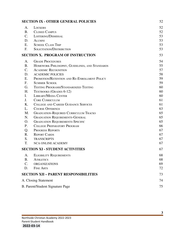| <b>SECTION IX - OTHER GENERAL POLICIES</b>   |                                                | 52 |
|----------------------------------------------|------------------------------------------------|----|
| A.                                           | LOCKERS                                        | 52 |
| <b>B.</b>                                    | <b>CLOSED CAMPUS</b>                           | 52 |
| $C_{\cdot}$                                  | LOITERING/DISMISSAL                            | 53 |
| D.                                           | <b>ALUMNI</b>                                  | 53 |
| Ε.                                           | <b>SCHOOL CLASS TRIP</b>                       | 53 |
| F.                                           | <b>SOLICITATION/DISTRIBUTION</b>               | 53 |
|                                              | <b>SECTION X. PROGRAM OF INSTRUCTION</b>       | 53 |
| A.                                           | <b>GRADE PROCEDURES</b>                        | 54 |
| B.                                           | HOMEWORK PHILOSOPHY, GUIDELINES, AND STANDARDS | 55 |
| $\mathbf{C}$ .                               | <b>ACADEMIC RECOGNITION</b>                    | 57 |
| D.                                           | <b>ACADEMIC POLICIES</b>                       | 58 |
| Ε.                                           | PROMOTION/RETENTION AND RE-ENROLLMENT POLICY   | 59 |
| F.                                           | <b>SUMMER SCHOOL</b>                           | 59 |
| G.                                           | TESTING PROGRAMS/STANDARDIZED TESTING          | 60 |
| H.                                           | TEXTBOOKS (GRADES 6-12)                        | 60 |
| I.                                           | <b>LIBRARY/MEDIA CENTER</b>                    | 60 |
| J.                                           | <b>CORE CURRICULUM</b>                         | 61 |
| Κ.                                           | COLLEGE AND CAREER GUIDANCE SERVICES           | 61 |
| L.                                           | <b>COURSE OFFERINGS</b>                        | 63 |
| M.                                           | <b>GRADUATION-REQUIRED CURRICULUM TRACKS</b>   | 65 |
| N.                                           | <b>GRADUATION REQUIREMENTS-GENERAL</b>         | 65 |
| O.                                           | <b>GRADUATION REQUIREMENTS-SPECIFIC</b>        | 65 |
| Ρ.                                           | <b>COLLEGE PREPARATORY PROGRAM</b>             | 66 |
| Q.                                           | <b>PROGRESS REPORTS</b>                        | 67 |
| R.                                           | <b>REPORT CARDS</b>                            | 67 |
| S.                                           | <b>TRANSCRIPTS</b>                             | 67 |
| T.                                           | <b>NCA ONLINE ACADEMY</b>                      | 67 |
|                                              | <b>SECTION XI - STUDENT ACTIVITIES</b>         | 67 |
|                                              | A. ELIGIBILITY REQUIREMENTS                    | 68 |
| <b>B.</b>                                    | <b>ATHLETICS</b>                               | 68 |
| C.                                           | <b>ORGANIZATIONS</b>                           | 69 |
| D.                                           | <b>FINE ARTS</b>                               | 72 |
| <b>SECTION XII - PARENT RESPONSIBILITIES</b> |                                                | 73 |
| A. Closing Statement                         |                                                | 74 |
| B. Parent/Student Signature Page             |                                                | 75 |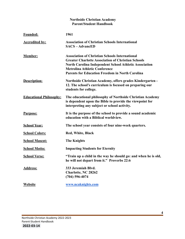| <b>Northside Christian Academy</b><br><b>Parent/Student Handbook</b> |                                                                                                                                                                                                                                                                                       |  |  |  |
|----------------------------------------------------------------------|---------------------------------------------------------------------------------------------------------------------------------------------------------------------------------------------------------------------------------------------------------------------------------------|--|--|--|
| <b>Founded:</b>                                                      | 1961                                                                                                                                                                                                                                                                                  |  |  |  |
| <b>Accredited by:</b>                                                | <b>Association of Christian Schools International</b><br><b>SACS-AdvancED</b>                                                                                                                                                                                                         |  |  |  |
| <b>Member:</b>                                                       | <b>Association of Christian Schools International</b><br><b>Greater Charlotte Association of Christian Schools</b><br><b>North Carolina Independent School Athletic Association</b><br><b>Metrolina Athletic Conference</b><br><b>Parents for Education Freedom in North Carolina</b> |  |  |  |
| Description:                                                         | Northside Christian Academy, offers grades Kindergarten -<br>12. The school's curriculum is focused on preparing our<br>students for college.                                                                                                                                         |  |  |  |
| <b>Educational Philosophy:</b>                                       | The educational philosophy of Northside Christian Academy<br>is dependent upon the Bible to provide the viewpoint for<br>interpreting any subject or school activity.                                                                                                                 |  |  |  |
| <b>Purpose:</b>                                                      | It is the purpose of the school to provide a sound academic<br>education with a Biblical worldview.                                                                                                                                                                                   |  |  |  |
| <b>School Year:</b>                                                  | The school year consists of four nine-week quarters.                                                                                                                                                                                                                                  |  |  |  |
| <b>School Colors:</b>                                                | Red, White, Black                                                                                                                                                                                                                                                                     |  |  |  |
| <b>School Mascot:</b>                                                | <b>The Knights</b>                                                                                                                                                                                                                                                                    |  |  |  |
| <b>School Motto:</b>                                                 | <b>Impacting Students for Eternity</b>                                                                                                                                                                                                                                                |  |  |  |
| <b>School Verse:</b>                                                 | "Train up a child in the way he should go: and when he is old,<br>he will not depart from it." Proverbs 22:6                                                                                                                                                                          |  |  |  |
| <b>Address:</b>                                                      | 333 Jeremiah Blvd.<br><b>Charlotte, NC 28262</b><br>$(704)$ 596-4074                                                                                                                                                                                                                  |  |  |  |
| <b>Website</b>                                                       | www.ncaknights.com                                                                                                                                                                                                                                                                    |  |  |  |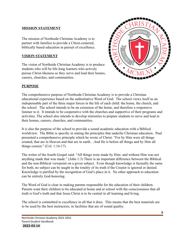#### <span id="page-5-0"></span>**MISSION STATEMENT**

The mission of Northside Christian Academy is to partner with families to provide a Christ-centered, biblically based education in pursuit of excellence.

#### **VISION STATEMENT**

The vision of Northside Christian Academy is to produce students who will be life-long learners who actively pursue Christ-likeness as they serve and lead their homes, careers, churches, and communities.



#### **PURPOSE**

The comprehensive purpose of Northside Christian Academy is to provide a Christian educational experience based on the authoritative Word of God. The school views itself as an indispensable part of the three major forces in the life of each child: the home, the church, and the school. The school intends to be an extension of the home, and therefore a responsive listener to it. It intends to be cooperative with the churches and supportive of their programs and activities. The school also intends to develop ministries to prepare students to serve and lead in their homes, careers, churches, and communities.

It is also the purpose of the school to provide a sound academic education with a Biblical worldview. The Bible is specific in stating the principles that underlie Christian education. Paul presented a comprehensive principle which he wrote of Christ: "For by Him were all things created, that are in Heaven and that are in earth…And He is before all things and by Him all things consist." (Col. 1:16-17)

The writer of the fourth Gospel said: "All things were made by Him: and without Him was not anything made that was made." (John 1:3) There is an important difference between the Biblical and the non-Biblical viewpoint on a given subject. Even though knowledge is factually the same for both, no subject can be taught in the totality of its truth if the Creator is ignored or denied. Knowledge is purified by the recognition of God's place in it. No other approach to education can be entirely God-honoring.

The Word of God is clear in making parents responsible for the education of their children. Parents want their children to be educated at home and at school with the consciousness that all truth is God's truth and that Jesus Christ is to be central in all learning and living.

The school is committed to excellence in all that it does. This means that the best materials are to be used by the best instructors, in facilities that are of sound quality.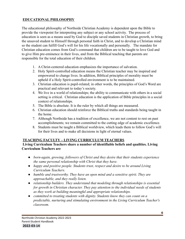## **EDUCATIONAL PHILOSOPHY**

The educational philosophy of Northside Christian Academy is dependent upon the Bible to provide the viewpoint for interpreting any subject or any school activity. The process of education is seen as a means used by God to disciple saved students in Christian growth, to bring the unsaved student to Himself through personal faith in Christ, and to develop a Christian mind so the student can fulfill God's will for his life vocationally and personally. The mandate for Christian education comes from God's command that children are to be taught to love God and to give Him pre-eminence in their lives, and from the Biblical teaching that parents are responsible for the total education of their children.

- 1. A Christ-centered education emphasizes the importance of salvation.
- 2. Holy Spirit-controlled education means the Christian teacher may be inspired and empowered to change lives. In addition, Biblical principles of morality must be upheld if a Holy Spirit-controlled environment is to be maintained.
- 3. Christian education is pupil-related; in other words, the principles of God's Word are practical and relevant to today's society.
- 4. We live in a world of relationships; the ability to communicate with others in a social setting is critical. Christian education is the application of Bible principles in a social context of relationships.
- 5. The Bible is absolute. It is the ruler by which all things are measured.
- 6. Christian education should reinforce the Biblical truths and standards being taught in the home.
- 7. Although Northside has a tradition of excellence, we are not content to rest on past accomplishments; we remain committed to the cutting edge of academic excellence.
- 8. Students must be taught a Biblical worldview, which leads them to follow God's will for their lives and to make all decisions in light of eternal values.

#### **TEACHING FACULTY – LIVING CURRICULUM TEACHERS**

#### **Living Curriculum Teachers share a number of identifiable beliefs and qualities. Living Curriculum Teachers are**

- *● born-again, growing, followers of Christ and they desire that their students experience the same personal relationship with Christ that they have.*
- *● happy and positive people. Students trust, respect and desire to be around Living Curriculum Teachers.*
- *● humble and trustworthy. They have an open mind and a sensitive spirit. They are approachable, and they really listen.*
- *● relationship builders. They understand that modeling through relationships is essential for growth in Christian character. They pay attention to the individual needs of students as they work at building meaningful and appropriate relationships.*
- *● committed to treating students with dignity. Students know they can count on a predictable, nurturing and stimulating environment in the Living Curriculum Teacher's classroom.*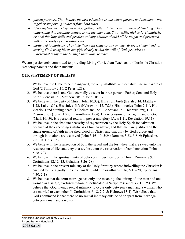- *● parent partners. They believe the best education is one where parents and teachers work together supporting students from both sides.*
- *● life-long learners. They never stop getting better at the art and science of teaching. They understand that teaching content is not the only goal. Study skills, higher-level analysis, critical thinking skills and problem solving abilities should all be taught and practiced within the study of each subject area.*
- *● motivated to motivate. They take time with students one on one. To see a student end up serving God, using his or her gifts clearly within the will of God, provides an indescribable joy to the Living Curriculum Teacher.*

We are passionately committed to providing Living Curriculum Teachers for Northside Christian Academy parents and their students.

#### <span id="page-7-0"></span>**OUR STATEMENT OF BELIEFS**

- 1. We believe the Bible to be the inspired, the only infallible, authoritative, inerrant Word of God (2 Timothy 3:16, 2 Peter 1:21).
- 2. We believe there is one God, eternally existent in three persons-Father, Son, and Holy Spirit (Genesis 1:1, Matthew 28:19, John 10:30).
- 3. We believe in the deity of Christ (John 10:33), His virgin birth (Isaiah 7:14, Matthew 1:23, Luke 1:35), His sinless life (Hebrews 4: 15, 7:26), His miracles (John 2:11), His vicarious and atoning death (1 Corinthians 15:3, Ephesians 1:7, Hebrews 2:9), His Resurrection (John 11:25, 1 Corinthians 15:4), His Ascension to the right hand of God (Mark 16:19), His personal return in power and glory (Acts 1:11, Revelation 19:11).
- 4. We believe in the absolute necessity of regeneration by the Holy Spirit for salvation because of the exceeding sinfulness of human nature, and that men are justified on the single ground of faith in the shed blood of Christ, and that only by God's grace and through faith alone are we saved (John 3:16–19, 5:24; Romans 3:23, 5:8–9; Ephesians 2:8–10; Titus 3:5).
- 5. We believe in the resurrection of both the saved and the lost; they that are saved unto the resurrection of life, and they that are lost unto the resurrection of condemnation (John 5:28–29).
- 6. We believe in the spiritual unity of believers in our Lord Jesus Christ (Romans 8:9, 1 Corinthians 12:12–13, Galatians 3:26–28).
- 7. We believe in the present ministry of the Holy Spirit by whose indwelling the Christian is enabled to live a godly life (Romans 8:13–14; 1 Corinthians 3:16, 6:19–20; Ephesians 4:30, 5:18).
- 8. We believe that the term marriage has only one meaning: the uniting of one man and one woman in a single, exclusive union, as delineated in Scripture (Genesis 2:18–25). We believe that God intends sexual intimacy to occur only between a man and a woman who are married to each other (1 Corinthians 6:18, 7:2–5; Hebrews 13:4). We believe that God's command is that there be no sexual intimacy outside of or apart from marriage between a man and a woman.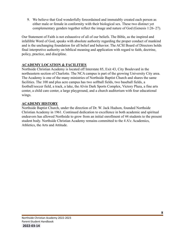9. We believe that God wonderfully foreordained and immutably created each person as either male or female in conformity with their biological sex. These two distinct yet complementary genders together reflect the image and nature of God (Genesis 1:26–27).

Our Statement of Faith is not exhaustive of all of our beliefs. The Bible, as the inspired and infallible Word of God, speaks with absolute authority regarding the proper conduct of mankind and is the unchanging foundation for all belief and behavior. The ACSI Board of Directors holds final interpretive authority on biblical meaning and application with regard to faith, doctrine, policy, practice, and discipline.

## <span id="page-8-0"></span>**ACADEMY LOCATION & FACILITIES**

Northside Christian Academy is located off Interstate 85, Exit 43, City Boulevard in the northeastern section of Charlotte. The NCA campus is part of the growing University City area. The Academy is one of the many ministries of Northside Baptist Church and shares the same facilities. The 100 and plus acre campus has two softball fields, two baseball fields, a football/soccer field, a track, a lake, the Alvin Dark Sports Complex, Victory Plaza, a fine arts center, a child care center, a large playground, and a church auditorium with four educational wings.

## **ACADEMY HISTORY**

Northside Baptist Church, under the direction of Dr. W. Jack Hudson, founded Northside Christian Academy in 1961. Continued dedication to excellence in both academic and spiritual endeavors has allowed Northside to grow from an initial enrollment of 44 students to the present student body. Northside Christian Academy remains committed to the 4 A's: Academics, Athletics, the Arts and Attitude.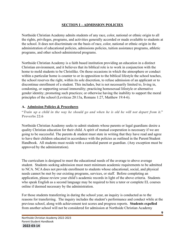## **SECTION I – ADMISSION POLICIES**

Northside Christian Academy admits students of any race, color, national or ethnic origin to all the rights, privileges, programs, and activities generally accorded or made available to students at the school. It does not discriminate on the basis of race, color, national or ethnic origin in the administration of educational policies, admissions policies, tuition assistance programs, athletic programs, and other school-administered programs.

Northside Christian Academy is a faith based institution providing an education in a distinct Christian environment, and it believes that its biblical role is to work in conjunction with the home to mold students to be Christlike. On those occasions in which the atmosphere or conduct within a particular home is counter to or in opposition to the biblical lifestyle the school teaches, the school reserves the right, within its sole discretion, to refuse admission of an applicant or to discontinue enrollment of a student. This includes, but is not necessarily limited to, living in, condoning, or supporting sexual immorality; practicing homosexual lifestyle or alternative gender identity; promoting such practices; or otherwise having the inability to support the moral principles of the school (Leviticus 20:13a, Romans 1:27, Matthew 19:4-6).

#### **A. Admission Policies & Procedures**

"Train up a child in the way he should go and when he is old he will not depart from it." **Proverbs 22:6**

Northside Christian Academy seeks to admit students whose parents or legal guardians desire a quality Christian education for their child. A spirit of mutual cooperation is necessary if we are going to be successful. The parents  $\&$  student must state in writing that they have read and agree to have their children educated in accordance with the policies as outlined in the Parent/Student Handbook. All students must reside with a custodial parent or guardian. (Any exception must be approved by the administration).

The curriculum is designed to meet the educational needs of the average to above average student. Students seeking admission must meet minimum academic requirements to be admitted to NCA. NCA does not provide enrollment to students whose educational, social, and physical needs cannot be met by our existing programs, services, or staff. Before completing an application, please review your child's academic records in light of the above criteria. Students who speak English as a second language may be required to hire a tutor or complete EL courses online if deemed necessary by the administration.

For those students transferring in during the school year, an inquiry is conducted as to the reasons for transferring. The inquiry includes the student's performance and conduct while at the previous school, along with achievement test scores and progress reports. **Students expelled** from another school will not be considered for admission at Northside Christian Academy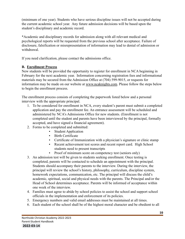(minimum of one year). Students who have serious discipline issues will not be accepted during the current academic school year. Any future admission decisions will be based upon the student's disciplinary and academic record.

\*Academic and disciplinary records for admission along with all relevant medical and psychological reports will be requested from the previous school after acceptance. Failure of disclosure, falsification or misrepresentation of information may lead to denial of admission or withdrawal.

If you need clarification, please contact the admissions office.

#### <span id="page-10-0"></span>**B. Enrollment Process**

New students will be provided the opportunity to register for enrollment in NCA beginning in February for the next academic year. Information concerning registration fees and informational materials may be secured from the Admission Office at (704) 599-9015, or requests for information may be made on our website at [www.ncaknights.com.](http://www.ncaknights.com) Please follow the steps below to begin the enrollment process.

The enrollment process consists of completing the paperwork listed below and a personal interview with the appropriate principal.

- 1. To be considered for enrollment in NCA, every student's parent must submit a completed application and pay the enrollment fee. An entrance assessment will be scheduled and administered by NCA's Admissions Office for new students. (Enrollment is not completed until the student and parents have been interviewed by the principal, formally accepted, and have signed a financial agreement).
- 2. Forms to be completed and submitted:
	- Student Application
	- Birth Certificate
	- Certificate of Immunization with a physician's signature or clinic stamp
	- Recent achievement test scores and recent report card. High School students need to present transcripts
	- Proof of minimum score on competency test (seniors only)
- 3. An admission test will be given to students seeking enrollment. Once testing is completed, parents will be contacted to schedule an appointment with the principal. Students should accompany their parents to the interview. During the interview, the principal will review the school's history, philosophy, curriculum, discipline system, homework expectations, communication, etc. The principal will discuss the child's academic, spiritual, social and physical needs with the parents. The Principal and/or the Head of School determines acceptance. Parents will be informed of acceptance within one week of the interview.
- 4. Families must agree to abide by school policies to assist the school and support school officials in the implementation and enforcement of its policies.
- 5. Emergency numbers and valid email addresses must be maintained at all times.
- 6. Each student of the school shall be of the highest moral character and be obedient to all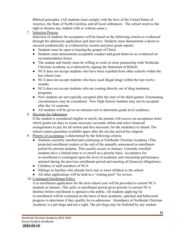Biblical principles. (All students must comply with the laws of the United States of America, the State of North Carolina, and all local ordinances. The school reserves the right to dismiss any student with or without cause.)

7. Selection Process

Selection of students for acceptance will be based on the following criteria as evidenced through the admission application and interview: Students must demonstrate a desire to succeed academically as evidenced by current and prior grade reports.

- Students must be open to hearing the gospel of Christ.
- Students must demonstrate acceptable conduct and good behavior as evidenced on recommendation forms.
- The student and family must be willing to work in close partnership with Northside Christian Academy as evidenced by signing the Statement of Beliefs.
- NCA does not accept students who have been expelled from other schools within the last school year.
- NCA does not accept students who have used illegal drugs within the last twelve months.
- NCA does not accept students who are coming directly out of drug treatment programs
- New students are not typically accepted after the start of the third quarter. Extenuating circumstances may be considered. New High School students may not be accepted after the 1st semester.
- All students will be given an entrance test to determine grade level readiness.

# 8. Decision for Admission

If the student is considered eligible to enroll, the parents will receive an acceptance letter which grants ten days to create necessary accounts online and select financial arrangements to pay for all tuition and fees necessary for the student(s) to attend. The school cannot guarantee available space after the ten day period has elapsed.

- 9. Priority of acceptance is determined by the following criteria:
	- Students currently enrolled and continuing at Northside Christian Academy (This protected enrollment expires at the end of the annually announced re-enrollment period for present students. This usually occurs in January. Currently enrolled students have a limited time to re-enroll on a priority basis. Acceptance for re-enrollment is contingent upon the level of academic and citizenship performance attained during the previous enrollment period and meeting all financial obligations).
	- Children of staff members of NCA
	- Siblings in families who already have one or more children in the school
	- All other applications will be held in a "waiting pool" for review.

# 10. Continued Enrollment Policy

A re-enrollment application for the next school year will be provided to current NCA students in January. This early re-enrollment period gives priority to current NCA families before enrollment is opened to the public. All students applying for re-enrollment will be evaluated on the basis of their academic, spiritual and behavioral progress to determine if they qualify for re-admission. Attendance at Northside Christian Academy is a privilege and not a right. The privilege may be forfeited by any student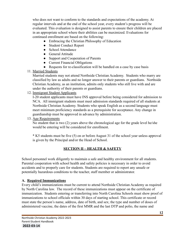who does not want to conform to the standards and expectations of the academy. At regular intervals and at the end of the school year, every student's progress will be evaluated. This evaluation is designed to assist parents to ensure their children are placed in an appropriate school where their abilities can be maximized. Evaluations for continued enrollment are based on the following:

- Embracing the Christian Philosophy of Education
- Student Conduct Report
- School Attendance
- General Attitude
- Support and Cooperation of Parents
- Current Financial Obligations
- Requests for re-classification will be handled on a case by case basis

# 11. Married Students

Married students may not attend Northside Christian Academy. Students who marry are classified by law as adults and no longer answer to their parents or guardians. Northside Christian Academy, as an institution, admits only students who still live with and are under the authority of their parents or guardians.

## 12. Immigrant Student Applicants

I-20 student applicants must have INS approval before being considered for admission to NCA. All immigrant students must meet admission standards required of all students at Northside Christian Academy. Students who speak English as a second language must meet minimum proficiency standards as a prerequisite for acceptance. Any change in guardianship must be approved in advance by administration.

## 13. Age Requirements

No student that is two (2) years above the chronological age for the grade level he/she would be entering will be considered for enrollment.

\* K5 students must be five (5) on or before August 31 of the school year unless approval is given by the Principal and/or the Head of School.

# **SECTION II – HEALTH & SAFETY**

School personnel work diligently to maintain a safe and healthy environment for all students. Parental cooperation with school health and safety policies is necessary in order to avoid accidents and to properly care for students. Students are required to report any unsafe or potentially hazardous conditions to the teacher, staff member or administrator.

#### **A. Required Immunizations**

Every child's immunizations must be current to attend Northside Christian Academy as required by North Carolina law. The record of these immunizations must appear on the certificate of immunization. Students entering or transferring into North Carolina Schools must show proof of immunizations to school officials within 30 days of starting school. This certificate or record must state the person's name, address, date of birth, and sex; the type and number of doses of administered vaccine, the dates of the first MMR and the last DTP and polio, the name and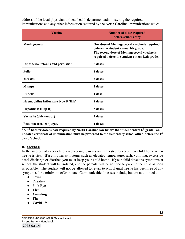address of the local physician or local health department administering the required immunizations and any other information required by the North Carolina Immunizations Rules.

| <b>Vaccine</b>                      | <b>Number of doses required</b><br>before school entry                                                                                                                                 |
|-------------------------------------|----------------------------------------------------------------------------------------------------------------------------------------------------------------------------------------|
| Meningococcal                       | One dose of Meningococcal vaccine is required<br>before the student enters 7th grade.<br>The second dose of Meningococcal vaccine is<br>required before the student enters 12th grade. |
| Diphtheria, tetanus and pertussis*  | 5 doses                                                                                                                                                                                |
| Polio                               | 4 doses                                                                                                                                                                                |
| <b>Measles</b>                      | 2 doses                                                                                                                                                                                |
| <b>Mumps</b>                        | 2 doses                                                                                                                                                                                |
| <b>Rubella</b>                      | 1 dose                                                                                                                                                                                 |
| Haemophilus Influenzae type B (Hib) | 4 doses                                                                                                                                                                                |
| <b>Hepatitis B (Hep B)</b>          | 3 doses                                                                                                                                                                                |
| Varicella (chickenpox)              | 2 doses                                                                                                                                                                                |
| Pneumococcal conjugate              | 4 doses                                                                                                                                                                                |

\*A 6<sup>th</sup> booster dose is now required by North Carolina law before the student enters 6<sup>th</sup> grade; an **updated certificate of immunization must be presented to the elementary school office before the 1 st day of school.**

#### <span id="page-13-0"></span>**B. Sickness**

In the interest of every child's well-being, parents are requested to keep their child home when he/she is sick. If a child has symptoms such as elevated temperature, rash, vomiting, excessive nasal discharge or diarrhea you must keep your child home. If your child develops symptoms at school, the student will be isolated, and the parents will be notified to pick up the child as soon as possible. The student will not be allowed to return to school until he/she has been free of any symptoms for a minimum of 24 hours. Communicable illnesses include, but are not limited to:

- **●** Feve**r**
- **●** Diarrhe**a**
- Pink Eye
- **● Lice**
- **● Vomiting**
- **● Flu**
- **● Covid-19**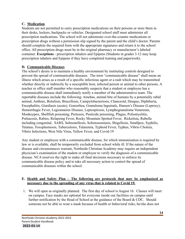#### <span id="page-14-0"></span>**C. Medication**

Students are not permitted to carry prescription medications on their persons or store them in their desks, lockers, backpacks or vehicles. Designated school staff must administer all prescription medications. The school will not administer over-the-counter medications or prescription drugs without a permission slip signed by the parent and the child's doctor. Parents should complete the required form with the appropriate signatures and return it to the school office. All prescription drugs must be in the original pharmacy or manufacturer's labeled container. **Exceptions** - prescription inhalers and Epipens (Students in grades 3-12 may keep prescription inhalers and Epipens if they have completed training and paperwork).

#### **D. Communicable Diseases**

The school's desire is to maintain a healthy environment by instituting controls designed to prevent the spread of communicable diseases. The term "communicable disease" shall mean an illness which arises as a result of a specific infectious agent or a rash which may be transmitted whether directly or indirectly by a susceptible host, infected person or animal to other persons. A teacher or office staff member who reasonably suspects that a student or employee has a communicable disease shall immediately notify a member of the administrative team. The reportable diseases include the following: Amebas, animal bite of humans by a potentially rabid animal, Anthrax, Botulism, Brucellosis, Campylobacteriosis, Chancroid, Dengue, Diphtheria, Encephalitis, Giardiasis (acute), Gonorrhea, Granuloma Inguinale, Hansen's Disease (Leprosy), Hemorrhagic Fever, Legionnaires Disease, Leptospirosis, Lymphogranuloma Venereum, Monkeypox, Shellfish poisoning, Pertussis, Pesticide poisoning, Plague, Poliomyelitis, Psittacosis, Rabies, Relapsing Fever, Rocky Mountain Spotted Fever, Rickettsia, Rubella including congenital, SARS, Salmonellosis, Schistosomiasis, Shigellosis, Smallpox, Syphilis, Tetanus, Toxoplasmosis, Tuberculosis, Tularemia, Typhoid Fever, Typhus, Vibrio Cholera, Vibrio Infections, West Nile Virus, Yellow Fever, and Covid-19

<span id="page-14-1"></span>Any student or employee with a communicable disease, for which immunization is required by law or is available, shall be temporarily excluded from school while ill. If the nature of the disease and circumstances warrant, Northside Christian Academy may require an independent physician's examination of the student or employee to verify the diagnosis of a communicable disease. NCA reserves the right to make all final decisions necessary to enforce its communicable disease policy and to take all necessary action to control the spread of communicable diseases within the school.

#### <span id="page-14-2"></span>**E. Health and Safety Plan – The following are protocols that may be emphasized as necessary due to the spreading of any virus that is related to Covid 19.**

1. We will open as originally planned. The first day of school is August 16. Classes will meet on campus. Face masks are optional for everyone inside our facilities on campus until further notification by the Head of School at the guidance of the Board & CDC. Should someone not be able to wear a mask because of health or behavioral risks, he/she does not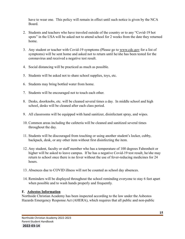have to wear one. This policy will remain in effect until such notice is given by the NCA Board.

- 2. Students and teachers who have traveled outside of the country or to any "Covid-19 hot spots" in the USA will be asked not to attend school for 2 weeks from the date they returned home.
- 3. Any student or teacher with Covid-19 symptoms (Please go to [www.cdc.gov](http://www.cdc.gov) for a list of symptoms) will be sent home and asked not to return until he/she has been tested for the coronavirus and received a negative test result.
- 4. Social distancing will be practiced as much as possible.
- 5. Students will be asked not to share school supplies, toys, etc.
- 6. Students may bring bottled water from home.
- 7. Students will be encouraged not to touch each other.
- 8. Desks, doorknobs, etc. will be cleaned several times a day. In middle school and high school, desks will be cleaned after each class period.
- 9. All classrooms will be equipped with hand sanitizer, disinfectant spray, and wipes.
- 10. Common areas including the cafeteria will be cleaned and sanitized several times throughout the day.
- 11. Students will be discouraged from touching or using another student's locker, cubby, backpack, desk, or any other item without first disinfecting the item.
- 12. Any student, faculty or staff member who has a temperature of 100 degrees Fahrenheit or higher will be asked to leave campus. If he has a negative Covid-19 test result, he/she may return to school once there is no fever without the use of fever-reducing medicines for 24 hours.
- 13. Absences due to COVID illness will not be counted as school day absences.
- 14. Reminders will be displayed throughout the school reminding everyone to stay 6 feet apart when possible and to wash hands properly and frequently.

# <span id="page-15-0"></span>**F. Asbestos Information**

Northside Christian Academy has been inspected according to the law under the Asbestos Hazards Emergency Response Act (AHERA), which requires that all public and non-public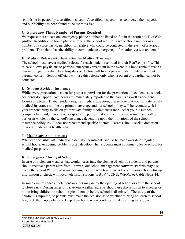schools be inspected by a certified inspector. A certified inspector has conducted the inspection and our facility has been found to be asbestos free.

## <span id="page-16-0"></span>**G. Emergency Phone Number of Parents Required**

We request that at least one emergency phone number be listed on file in the **student's RenWeb profile**. In addition to home phone numbers, the school requires a work phone number or a number of a close friend, neighbor, or relative who could be contacted in the event of a serious problem. The school has the ability to communicate emergency information via text and email.

# <span id="page-16-1"></span>**H. Medical Release –Authorization for Medical Treatment**

The school must have a medical release for each student recorded in their RenWeb profile. This release allows physicians to perform emergency treatment in the event it is impossible to reach a parent or legal guardian. Few hospitals or doctors will treat a patient under eighteen without parental consent. School officials will use this release only when a parent or guardian cannot be contacted.

# <span id="page-16-2"></span>**I. Student Accident Insurance**

While every precaution is taken for proper supervision for the prevention of accidents at school, accidents do happen. Accidents are immediately reported to the parents as well as accident forms completed. If your student requires medical attention, please note that your private family medical insurance will be the primary coverage and our school policy will be secondary. It is your responsibility to file on your private family medical insurance. After your insurance company has paid, then any out-of-pocket expenses that you incur may be reimbursed, either in part or in whole, by the school's insurance depending upon the limitations of the school insurance policy. NCA does not recommend specific doctors. Parents should seek a doctor on their own individual health plan.

# <span id="page-16-3"></span>**J. Healthcare Appointments**

Whenever possible, all medical and dental appointments should be made outside of regular school hours. Academic problems often develop when students must continually leave school for medical purposes.

# <span id="page-16-4"></span>**K. Emergency Closing of School**

In case of inclement weather that would necessitate the closing of school, students and parents should receive a parent alert from Renweb, our school management software. Parents may also check the school Website at [www.ncaknights.com,](http://www.ncaknights.com) which will provide continuous school closing information or check with local television stations WBTV, WCNC, WSOC, or Cable News 14.

In some circumstances, inclement weather may delay the opening of school or cause the school to close early. During times of hazardous weather, parents should use discretion as to whether or not to bring children to school or pick them up before school is dismissed. The safety of the children is supreme, so parents must make the decision as to whether to bring children to school late, pick them up early, or to keep them home when conditions make driving hazardous.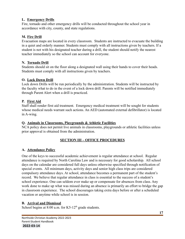#### <span id="page-17-0"></span>**L. Emergency Drills**

Fire, tornado and other emergency drills will be conducted throughout the school year in accordance with city, county, and state regulations.

#### <span id="page-17-1"></span>**M. Fire Drill**

Evacuation maps are located in every classroom. Students are instructed to evacuate the building in a quiet and orderly manner. Students must comply with all instructions given by teachers. If a student is not with his designated teacher during a drill, the student should notify the nearest teacher immediately so the school can account for everyone.

#### <span id="page-17-2"></span>**N. Tornado Drill**

Students should sit on the floor along a designated wall using their hands to cover their heads. Students must comply with all instructions given by teachers.

#### <span id="page-17-3"></span>**O. Lock Down Drill**

Lock down Drills will be run periodically by the administration. Students will be instructed by the faculty what to do in the event of a lock down drill. Parents will be notified immediately through Parent Alert when a drill is practiced.

# <span id="page-17-4"></span>**P. First Aid**

Staff shall render first aid treatment. Emergency medical treatment will be sought for students whose medical needs warrant such actions. An AED (automated external defibrillator) is located in A-wing.

#### <span id="page-17-5"></span>**Q. Animals in Classrooms, Playgrounds & Athletic Facilities**

NCA policy does not permit live animals in classrooms, playgrounds or athletic facilities unless prior approval is obtained from the administration.

# **SECTION III – OFFICE PROCEDURES**

# <span id="page-17-6"></span>**A. Attendance Policy**

One of the keys to successful academic achievement is regular attendance at school. Regular attendance is required by North Carolina Law and is necessary for good scholarship. All school days on the calendar are considered full days unless otherwise specified through notification of special events. All minimum days, activity days and senior high class trips are considered compulsory attendance days. At school, attendance becomes a permanent part of the student's record. We believe that regular attendance in class is essential to the success of a student's school experience. One can seldom ever make up or compensate for absences from class. Any work done to make up what was missed during an absence is primarily an effort to bridge the gap in classroom experience. The school discourages taking extra days before or after a scheduled vacation or anytime while school is in session.

# <span id="page-17-7"></span>**B. Arrival and Dismissal**

School begins at  $8:00$  a.m. for K5-12<sup>th</sup> grade students.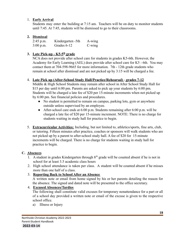#### 1. **Early Arrival**

Students may enter the building at 7:15 am. Teachers will be on duty to monitor students until 7:45. At 7:45, students will be dismissed to go to their classrooms.

#### **2. Dismissal**

| $2:45$ p.m. | Kindergarten -5th | A-wing          |
|-------------|-------------------|-----------------|
| 3:00 p.m.   | Grades 6-12       | $C\text{-wing}$ |

# **3. Late Pick-up - K5-5th grade**

NCA does not provide after school care for students in grades K5-6th. However, the Academy for Early Learning (AEL) does provide after school care for K5 - 6th. You may contact them at 704-598-9665 for more information. 7th - 12th grade students who remain at school after dismissal and are not picked up by 3:15 will be charged a fee.

#### 4. **Late Pick up (After-School Study Hall/Practice/Rehearsal)** - **grades 7-12**

Middle & High School Students may remain after school in After School Study Hall for \$15 per day until 6:00 pm. Parents are asked to pick up your students by 6:00 pm. Students will be charged a late fee of \$20 per 15-minute increments when not picked up by 6:00 pm. See financial policies and procedures.

- No student is permitted to remain on campus, parking lots, gym or anywhere outside unless supervised by an employee.
- After-school care ends at 6:00 p.m. Students remaining after 6:00 p.m. will be charged a late fee of \$20 per 15-minute increment. NOTE: There is no charge for students waiting in study hall for practice to begin.
- 5. **Extracurricular Activities:** Including, but not limited to, athletics/sports, fine arts, club, or tutoring. Fifteen minutes after practice, coaches or sponsors will walk students who are not picked up by a parent to after-school study hall. A fee of \$20 for 15-minute increments will be charged. There is no charge for students waiting in study hall for practice to begin.

#### <span id="page-18-0"></span>**C. Absences**

- 1. A student in grades Kindergarten through  $8<sup>th</sup>$  grade will be counted absent if he is not in school for at least 3.5 academic class hours
- 2. High school attendance is taken per class. A student will be counted absent if he misses more than one half of a class.

#### 3. **Reporting Back to School After an Absence**

A written note or email from home signed by his or her parents detailing the reason for the absence. The signed and dated note will be presented to the office secretary.

#### 4. **Excused Absences/Tardies**

The following shall constitute valid excuses for temporary nonattendance for a part or all of a school day provided a written note or email of the excuse is given to the respective school office.

a) Illness or Injury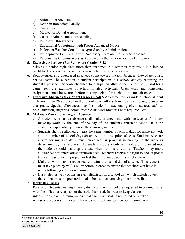- b) Automobile Accident
- c) Death in Immediate Family
- d) Quarantine
- e) Medical or Dental Appointment
- f) Court or Administrative Proceeding
- g) Religious Observances
- h) Educational Opportunity with Proper Advanced Notice
- i) Inclement Weather Conditions Agreed on by Administration
- j) Pre-approved Family Trip with Necessary Form on File Prior to Absence
- k) Extenuating Circumstances as Approved by the Principal or Head of School

#### **5. Excessive Absences (Per Semester) Grades 9-12**

Missing a senior high class more than ten times in a semester may result in a loss of credit for that class for the semester in which the absences occurred.

- 6. Both excused and unexcused absences count toward the ten absences allowed per class, per semester. The exception is student participation in a school activity requiring the student's presence. School-scheduled field trips, an athletic team's early dismissal for a game, etc., are examples of school-initiated activities. Class work and homework assignments must be secured before missing a class for a school-initiated absence.
- **7. Excessive Absences (Per Year) Grades K5-8th -** An elementary or middle school student with more than 20 absences in the school year will result in the student being retained in that grade. Special allowances may be made for extenuating circumstances such as hospitalization, surgeries, communicable illnesses (doctor's note required), etc.

#### **8. Make-up Work Following an Absence**

- a) A student who has an absence shall make arrangements with the teacher(s) for any make-up work by the end of the day of the student's return to school. It is the student's responsibility to make these arrangements.
- b) Students shall be allowed at least the same number of school days for make-up work as the number of school days absent with the exception of tests. Students who are absent for multiple days, must make regular progress in making up the work as determined by the teachers. If a student is absent only on the day of a planned test, the student should make-up the test when he or she returns. Teachers may make allowances for extenuating circumstances. Teachers reserve the right to deduct points from any assignment, project, or test that is not made up in a timely manner.
- c) Make-up work may be requested following the second day of absence. This request must take place by 9:30 a.m. or before in order to ensure that teachers can have it ready following afternoon dismissal.
- d) If a student is tardy or has an early dismissal on a school day which includes a test, the student must be prepared to take the test that same day if at all possible.

# 5. **Early Dismissals**

Parents of students needing an early dismissal from school are requested to communicate with the office secretary about the early dismissal. In order to keep classroom interruptions to a minimum, we ask that each dismissal be requested only when necessary. Students are never to leave campus without written permission from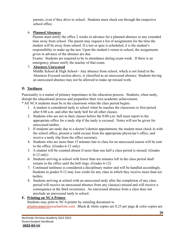parents, even if they drive to school. Students must check out through the respective school office.

#### 6. **Planned Absences**

Parents must notify the office 2 weeks in advance for a planned absence or any extended time away from school. The parent may request a list of assignments for the time the student will be away from school. If a test or quiz is scheduled, it is the student's responsibility to make up the test. Upon the student's return to school, the assignments given in advance of the absence are due.

Exams: Students are required to be in attendance during exam week. If there is an emergency, please notify the teacher of that exam.

#### 7. **Absences Unexcused**

Middle School  $\&$  High School - Any absence from school, which is not listed in the Absences Excused section above, is classified as an unexcused absence. Students having an unexcused absence may not be allowed to make up missed work.

## <span id="page-20-0"></span>**D. Tardiness**

Punctuality is a matter of primary importance in the education process. Students, when tardy, disrupt the educational process and jeopardize their own academic achievement.

- \* All NCA students must be in the classroom when the class period begins.
	- 1. A student is considered tardy to school when he reaches the classroom or first period after 8:00 a.m. and after the tardy bell for all other classes.
	- 2. Students who are not in their classes before the 8:00 a.m. bell must report to the appropriate office for a tardy slip if the tardy is excused. Notes will not be given for unexcused tardies.
	- 3. If students are tardy due to a doctor's/dentist appointment, the student must check in with the school office, present a valid excuse from the appropriate physician's office, and receive a tardy slip from the office secretary.
	- 4. Students who are more than 15 minutes late to class for an unexcused reason will be sent to the office. (Grades 6-12 only)
	- 5. A student will be counted absent if more than one half a class period is missed. (Grades 6-12 only)
	- 6. Students arriving at school with fewer than ten minutes left in the class period shall remain in the office until the bell rings. (Grades 6-12)
	- 7. Continued tardiness is considered a disciplinary matter and will be handled accordingly. Students in grades 9-12 may lose credit for any class in which they receive more than ten tardies.
	- 8. Students arriving at school with an unexcused tardy after the completion of any class period will receive an unexcused absence from any class(es) missed and will receive a consequence at the third occurrence. An unexcused absence from a class does not preclude an unexcused tardy to school.

#### <span id="page-20-1"></span>**E. Printing on NCA Printer**

Students may print to NCA printer by emailing document to [printmypaper@n](mailto:printmypaper@northsidecharlotte.com)cacharlotte.com. Black & white copies are \$.25 per page & color copies are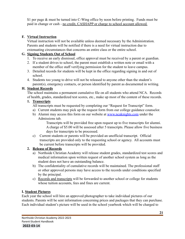\$1 per page & must be turned into C-Wing office by noon before printing. Funds must be paid in change or cash - no credit, CASHAPP or charge to school account allowed.

# **F. Virtual Instruction**

Virtual instruction will not be available unless deemed necessary by the Administration. Parents and students will be notified if there is a need for virtual instruction due to extenuating circumstances that concerns an entire class or the entire school.

# <span id="page-21-0"></span>**G. Signing Students Out of School**

- 1. To receive an early dismissal, office approval must be received by a parent or guardian.
- 2. If a student drives to school, the parent must establish a written note or email with a member of the office staff verifying permission for the student to leave campus.
- 3. Detailed records for students will be kept in the office regarding signing in and out of school.
- 4. Students too young to drive will not be released to anyone other than the student's parent(s), emergency contacts, or person identified by parent as documented in writing.

# **H. Student Records**

The school maintains a permanent cumulative file on all students who attend NCA. Records of health, grades, standardized test scores, etc., make up most of the content of these records.

# **1. Transcripts**

All transcripts must be requested by completing our "Request for Transcript" form.

- a) Current students may pick up the request form from our college guidance counselor.
- b) Alumni may access this form on our website at [www.ncaknights.com](http://www.ncaknights.com) under the Admissions tab.

Transcripts will be provided free upon request up to five transcripts for alumni. A charge of \$5.00 will be assessed after 5 transcripts. Please allow five business days for transcripts to be processed.

c) Current students or parents will be provided an unofficial transcript. Official transcripts are provided only to the requesting school or agency. All accounts must be current before transcripts will be provided.

# **2. Release of Records**

- a) Northside Christian Academy will release student grades, standardized test scores and medical information upon written request of another school system as long as the student does not have an outstanding balance.
- b) The confidentiality of cumulative records will be maintained. The professional staff or other approved persons may have access to the records under conditions specified by the principal.
- c) Records and transcripts will be forwarded to another school or college for students whose tuition accounts, fees and fines are current.

# **I. Student Pictures**

Each year the school will hire an approved photographer to take individual pictures of our students. Parents will be sent information concerning prices and packages that they can purchase. Each individual student's picture will be used in the school yearbook which will be charged to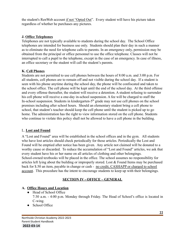the student's RenWeb account if not "Opted Out". Every student will have his picture taken regardless of whether he purchases any pictures.

#### <span id="page-22-0"></span>**J. Office Telephones**

Telephones are not typically available to students during the school day. The School Office telephones are intended for business use only. Students should plan their day in such a manner as to eliminate the need for telephone calls to parents. In an emergency only, permission may be obtained from the principal or office personnel to use the office telephone. Classes will not be interrupted to call a pupil to the telephone, except in the case of an emergency. In case of illness, an office secretary or the student will call the student's parents.

#### <span id="page-22-1"></span>**K. Cell Phones**

Students are not permitted to use cell phones between the hours of 8:00 a.m. and 3:00 p.m. For all students, cell phones are to remain off and not visible during the school day. If a student is seen with his phone anytime during the school day, the phone will be confiscated and taken to the school office. The cell phone will be kept until the end of the school day. At the third offense and every offense thereafter, the student will receive a detention. A student refusing to surrender his cell phone will receive a one-day in-school suspension. A fee will be charged to staff the In-school suspension. Students in kindergarten-5th grade may not use cell phones on the school premises including after school hours. Should an elementary student bring a cell phone to school, that student's teacher should keep the cell phone until the student is picked up to go home. The administration has the right to view information stored on the cell phone. Students who continue to violate this policy shall not be allowed to have a cell phone in the building.

#### <span id="page-22-2"></span>L. **Lost and Found**

A "Lost and Found" area will be established in the school offices and in the gym. All students who have lost articles should check periodically for those articles. Periodically the Lost and Found will be emptied after notice has been given. Any article not claimed will be donated to a worthy cause or discarded. To reduce the accumulation of "Lost and Found" articles, we ask that every student have his or her name on all articles of clothing and other belongings. School-owned textbooks will be placed in the office. The school assumes no responsibility for articles left lying about the building or improperly stored. Lost & Found Items may be purchased back for \$.50 an item, payable in change or cash - no credit, CASHAPP or charged to school account. This procedure has the intent to encourage students to keep up with their belongings.

#### **SECTION IV - OFFICE – GENERAL**

#### <span id="page-22-3"></span>**A. Office Hours and Location**

- Head of School Office 7:30 a.m. - 4:00 p.m. Monday through Friday. The Head of School's office is located in C-wing.
- School Office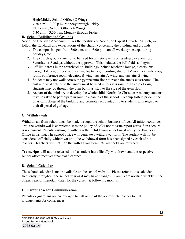High/Middle School Office (C Wing) 7:30 a.m.  $-3:30$  p.m. Monday through Friday Elementary School Office (A Wing) 7:30 a.m. - 3:30 p.m. Monday through Friday

#### **B. School Building and Grounds**

Northside Christian Academy utilizes the facilities of Northside Baptist Church. As such, we follow the standards and expectations of the church concerning the building and grounds:

- 1. The campus is open from 7:00 a.m. until 6:00 p.m. on all weekdays except during holidays, etc.
- 2. The church grounds are not to be used for athletic events on Wednesday evenings, Saturday or Sundays without the approval. This includes the ball fields and gym.
- 3. Off-limit areas in the church/school buildings include teacher's lounge, closets, bus garage, kitchen, offices, auditorium, baptistery, recording studio, TV room, catwalk, copy room, conference room, elevator, B-wing, upstairs A-wing, and upstairs G-wing.
- 4. Students may not walk across the gymnasium floor to reach the annex classrooms. The east and west entries to the annex must be used unless it is raining. In case of rain, students may go through the gym but must stay to the side of the gym floor.
- 5. As part of the ministry to develop the whole child, Northside Christian Academy students may be asked to participate in routine cleanup of the school. Cleanup fosters pride in the physical upkeep of the building and promotes accountability to students with regard to their disposal of garbage.

#### <span id="page-23-0"></span>**C. Withdrawals**

Withdrawals from school must be made through the school business office. All tuition continues until the withdrawal is completed. It is the policy of NCA not to issue report cards if an account is not current. Parents wishing to withdraw their child from school must notify the Business Office in writing. The school office will generate a withdrawal form. The student will not be considered officially withdrawn until the withdrawal form has been signed by each of his teachers. Teachers will not sign the withdrawal form until all books are returned.

**Transcripts** will not be released until a student has officially withdrawn and the respective school office receives financial clearance.

#### <span id="page-23-1"></span>**D. School Calendar**

The school calendar is made available on the school website. Please refer to this calendar frequently throughout the school year as it may have changes. Parents are notified weekly in the Sneak Peak of important dates for the current & following months.

# <span id="page-23-2"></span>**E. Parent/Teacher Communication**

Parents or guardians are encouraged to call or email the appropriate teacher to make arrangements for conferences.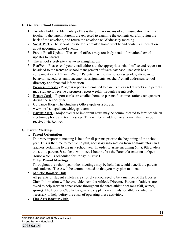#### <span id="page-24-0"></span>**F. General School Communication**

- 1. Tuesday Folder (Elementary) This is the primary means of communication from the teacher to the parent. Parents are expected to examine the contents carefully, sign the back of the envelope, and return the envelope on Wednesday morning.
- 2. Sneak Peek The school newsletter is emailed home weekly and contains information about upcoming school events.
- 3. Parent Email Update The school offices may routinely send informational email updates to parents.
- 4. The school's Web site [www.ncaknights.com](http://www.ncaknights.com)
- 5. RenWeb Please send your email address to the appropriate school office and request to be added to the RenWeb school management software database. RenWeb has a component called "ParentsWeb." Parents may use this to access grades, attendance, behavior, schedules, announcements, assignments, teachers' email addresses, school directory and financial information.
- 6. Progress Reports Progress reports are emailed to parents every 4 1/2 weeks and parents may sign up to receive a progress report weekly through ParentsWeb.
- 7. Report Cards Report cards are emailed home to parents four times (after each quarter) during the school year.
- 8. Guidance Blog The Guidance Office updates a blog at www.northsideguidance.blogspot.com
- 9. **Parent Alert –** Major events or important news may be communicated to families via an electronic phone and text message. This will be in addition to an email that may be received via Renweb.

#### <span id="page-24-1"></span>**G. Parent Meetings**

#### 1. **Parent Orientation**

This very important meeting is held for all parents prior to the beginning of the school year. This is the time to receive helpful, necessary information from administrators and teachers pertaining to the new school year. In order to assist incoming 6th & 9th graders transition, parents & students will meet 1 hour before the Parent Orientation at Open House which is scheduled for Friday, August 12.

#### **Other Parent Meetings**

Throughout the school year other meetings may be held that would benefit the parents and students. These will be communicated so that you may plan to attend.

#### 2. **Athletic Booster Club**

All parents of student athletes are strongly encouraged to be a member of the Booster Club. Information will be available from the Athletic Director. Parents of athletes are asked to help serve in concessions throughout the three athletic seasons (fall, winter, spring). The Booster Club helps generate supplemental funds for athletics which are necessary to help defray the costs of operating these activities.

# 3. **Fine Arts Booster Club**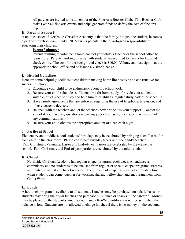All parents are invited to be a member of the Fine Arts Booster Club. This Booster Club assists with all fine arts events and helps generate funds to defray the cost of fine arts expenses.

## <span id="page-25-0"></span>**H. Parental Support**

A unique aspect of Northside Christian Academy is that the family, not just the student, becomes a part of the school community. NCA assists parents in their God-given responsibility of educating their children.

# **Parent Volunteer**

Parents wishing to volunteer should contact your child's teacher or the school office to learn more. Parents working directly with students are required to have a background check on file. The cost for the background check is \$10.00. Volunteers must sign in at the appropriate school office and be issued a visitor's badge.

## <span id="page-25-1"></span>**I. Helpful Guidelines**

Here are some helpful guidelines to consider in making home life positive and constructive for success in school.

- 1. Encourage your child to be enthusiastic about his schoolwork.
- 2. Be sure your child schedules sufficient time for home study. Provide your student a suitable, quiet place to study and help him to establish a regular study pattern or schedule.
- 3. Have family agreements that are enforced regarding the use of telephone, television, and other electronic devices.
- 4. Be open with the teacher, and let the teacher know he/she has your support. Contact the school if you have any questions regarding your child, assignments, or clarification of any communications.
- 5. Be sure your child obtains the appropriate amount of sleep each night.

#### <span id="page-25-2"></span>**J. Parties at School**

Elementary and middle school students' birthdays may be celebrated by bringing a small treat for each child in the classroom. Please coordinate birthday treats with the child's teacher. Fall, Christmas, Valentine, Easter and End-of-year parties are celebrated by the elementary school. Fall, Christmas, and End-of-year parties are celebrated by the middle school.

#### <span id="page-25-3"></span>**K. Chapel**

Northside Christian Academy has regular chapel programs each week. Attendance is compulsory and no student is to be excused from regular or special chapel programs. Parents are invited to attend all chapel services. The purpose of chapel service is to provide a time when students can come together for worship, sharing, fellowship, and encouragement from God's Word.

#### **L. Lunch**

A hot lunch program is available to all students. Lunches may be purchased on a daily basis, or students may bring their own lunches and purchase milk, juice or snacks in the cafeteria. Money may be placed on the student's lunch account and a RenWeb notification will be sent when the balance is low. Students are not allowed to charge lunches if there is no money on the account.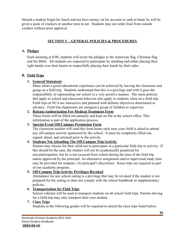Should a student forget his lunch and not have money on his account or cash in hand, he will be given a pack of crackers or another item to eat. Students may not order food from outside vendors without prior approval.

## **SECTION V – GENERAL POLICIES & PROCEDURES**

## <span id="page-26-1"></span><span id="page-26-0"></span>**A. Pledges**

Each morning at 8:00, students will recite the pledges to the American flag, Christian flag and the Bible. All students are expected to participate by standing and either placing their right hands over their hearts or respectfully placing their hands by their sides.

# <span id="page-26-2"></span>**B. Field Trips**

## **1. General Statement**

Many times a good educational experience can be achieved by leaving the classroom and going on a field trip. Students understand that this is a privilege and with it goes the responsibility of representing our school in a very positive manner. The same policies that apply to school and classroom behavior also apply to students when on a field trip. Field trips at NCA are instructive and planned with definite objectives determined in advance. Field trip chaperones are assigned a group of children to supervise.

#### **2. Release/Authorization For Medical Treatment Form**

These forms will be filled out annually and kept on file in the school office. This information is part of the application process.

#### **3. Special Event Off-Campus Permission Form**

The classroom teacher will send this form home each time your child is asked to attend any off-campus activity sponsored by the school. It must be completely filled out, signed, dated, and returned prior to the activity.

# **4. Students Not Attending The Off-Campus Trip/Activity**

Parents may choose for their child not to participate in a particular field trip or activity. If this should be the case, the student will not be academically penalized for non-participation, but he is not excused from school during the time of the field trip unless approved by the principal. An alternative assignment and/or supervised study time may be provided for students. (At principal's discretion). Some trips are required as part of our academic program.

# **5. Off-Campus Trip/Activity Privileges Revoked**

Attendance for any school outing is a privilege that may be revoked if the student is not prepared for the outing or does not comply with the school handbook or supplementary policies.

# **6. Transportation for Field Trips**

School vehicles will be used to transport students on all school field trips. Parents driving for a field trip may only transport their own student.

#### **7. Class Trips**

Students in the following grades will be required to attend the class trips listed below: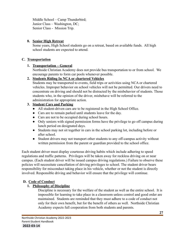Middle School – Camp Thunderbird; Junior Class – Washington, DC; Senior Class - Mission Trip.

#### **8. Senior High Retreat**

Some years, High School students go on a retreat, based on available funds. All high school students are expected to attend.

#### <span id="page-27-0"></span>**C. Transportation**

#### **1. Transportation – General**

Northside Christian Academy does not provide bus transportation to or from school. We encourage parents to form car pools whenever possible.

#### **2. Students Riding In NCA or chartered Vehicles**

Students may be transported to events, field trips or activities using NCA or chartered vehicles. Improper behavior on school vehicles will not be permitted. Our drivers need to concentrate on driving and should not be distracted by the misbehavior of students. Those students who, in the opinion of the driver, misbehave will be referred to the administration for appropriate action.

#### **3. Student Cars and Parking**

- All student-driven cars are to be registered in the High School Office.
- Cars are to remain parked until students leave for the day.
- Cars are not to be occupied during school hours.
- Only seniors with signed permission forms have the privilege to go off campus during lunch period on designated days.
- Students may not sit together in cars in the school parking lot, including before or after school.
- Student drivers may not transport other students to any off-campus activity without written permission from the parent or guardian provided to the school office.

Each student driver must display courteous driving habits which include adhering to speed regulations and traffic patterns. Privileges will be taken away for reckless driving on or near campus. (Each student driver will be issued campus driving regulations.) Failure to observe these policies will necessitate cancellation of driving privileges to school. The student driver bears responsibility for misconduct taking place in his vehicle, whether or not the student is directly involved. Responsible driving and behavior will ensure that the privilege will continue.

#### **D. Code of Conduct**

#### **1. Philosophy of Discipline**

Discipline is necessary for the welfare of the student as well as the entire school. It is impossible for learning to take place in a classroom unless control and good order are maintained. Students are reminded that they must adhere to a code of conduct not only for their own benefit, but for the benefit of others as well. Northside Christian Academy expects full cooperation from both students and parents.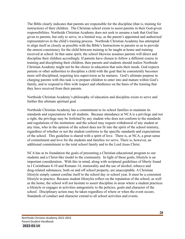The Bible clearly indicates that parents are responsible for the discipline (that is, training for instruction) of their children. The Christian school exists to assist parents in their God-given responsibilities. Northside Christian Academy does not seek to assume a task that God has given to parents, but only to serve, in a limited way, as the parent's appointed and authorized representatives in the child's training process. Northside Christian Academy has attempted to align itself as closely as possible with the Bible's Instructions to parents so as to provide the utmost consistency for the child between training to be taught at home and training received at school. In that same spirit, the school likewise assumes parents will direct and discipline their children accordingly. If parents have chosen to follow a different course in training and disciplining their children, then parents and students should realize Northside Christian Academy might not be the choice in education that suits their needs. God expects parents or other authorities to discipline a child with the goal that he consistently becomes more self-disciplined, requiring less supervision as he matures. God's ultimate purpose in charging parents with this task is to prepare children to enter into and mature within God's family, and to respond to Him with respect and obedience on the basis of the training that they have received from their parents.

Northside Christian Academy's philosophy of education and discipline exists to serve and further this ultimate spiritual goal.

Northside Christian Academy has a commitment to its school families to maintain its standards and expectations for all students. Because attendance at NCA is a privilege and not a right, the privilege may be forfeited by any student who does not conform to the standards and regulations of the institution: and the school may request withdrawal of any student at any time, who in the opinion of the school does not fit into the spirit of the school ministry, regardless of whether or not the student conforms to the specific standards and expectations of the school. This guideline is shared with a spirit of love. There is, at NCA, a great sense of commitment and love for the students and families we serve. There is, however, an additional commitment to the total school family and to the Lord Jesus Christ.

NCA has at its foundation the goals of presenting a Christian educational program to our students and a Christ-like model to the community. In light of these goals, lifestyle is an important consideration. With this in mind, along with scriptural guidelines of liberty found in I Corinthians 8-10 and Romans 14, immorality and the use of alcohol, tobacco and drug-related substances, both on and off school property, are unacceptable. A Christian lifestyle simply cannot confine itself to the school day or school year. It must be a consistent lifestyle in practice. Because student lifestyles reflect on the reputation of the school, as well as the home, the school will not hesitate to assert discipline in areas where a student practices a lifestyle or engages in activities antagonistic to the policies, goals and character of the school. Disciplinary action may be taken regardless of where or when the event occurs. Standards of conduct and character extend to all school activities and events.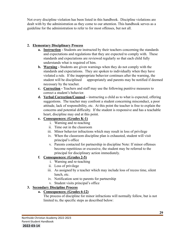Not every discipline violation has been listed in this handbook. Discipline violations are dealt with by the administration as they come to our attention. This handbook serves as a guideline for the administration to refer to for most offenses, but not all.

## **2. Elementary Disciplinary Process**

- **a. Instruction -** Students are instructed by their teachers concerning the standards and expectations and regulations that they are expected to comply with. These standards and expectations are reviewed regularly so that each child fully understands what is required of him.
- **b. Warning -** Students are given warnings when they do not comply with the standards and expectations. They are spoken to individually when they have violated a rule. If the inappropriate behavior continues after the warning, the student will be disciplined appropriately and parents may be notified if deemed necessary by the teacher.
- **c. Correction -** Teachers and staff may use the following punitive measures to correct a student's behavior.
- **d. Verbal Correction/Counsel –** instructing a child as to what is expected, offering suggestions. The teacher may confront a student concerning misconduct, a poor attitude, lack of responsibility, etc. At this point the teacher is free to explain the concerns and potential difficulty. If the student is responsive and has a teachable heart, discipline may end at this point.

## **e. Consequences: (Grades K-1)**

- i. Warning and re-teaching
- ii. Time out in the classroom
- iii. Minor behavior infractions which may result in loss of privilege
- iv. When the classroom discipline plan is exhausted, student will visit principal's office
- v. Parents contacted for partnership in discipline Note: If minor offenses become repetitious or excessive, the student may be referred to the principal for disciplinary action immediately.

# **f. Consequences: (Grades 2-5)**

- i. Warning and re-teaching
- ii. Loss of privilege
- iii. As assigned by a teacher which may include loss of recess time, silent lunch, etc.
- iv. Notification sent to parents for partnership
- v. Student visits principal's office

#### **3. Secondary Discipline Process**

#### **a. Consequences: (Grades 6-12)**

The process of discipline for minor infractions will normally follow, but is not limited to, the specific steps as described below: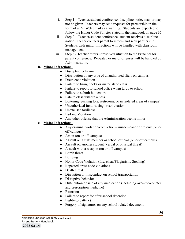- i. Step 1 Teacher/student conference; discipline notice may or may not be given. Teachers may send requests for partnership in the form of a RenWeb email as a warning. Students are expected to follow the Honor Code Policies stated in the handbook on page 37.
- ii. Step 2 Teacher/student conference; student receives discipline notice.Teacher contacts parent to inform and seek partnership. Students with minor infractions will be handled with classroom management.
- iii. Step 3 Teacher refers unresolved situation to the Principal for parent conference. Repeated or major offenses will be handled by Administration.

#### **b. Minor Infractions:**

- Disruptive behavior
- Distribution of any type of unauthorized fliers on campus
- Dress code violation
- Failure to bring books or materials to class
- Failure to report to school office when tardy to school
- Failure to submit homework
- Late to class without a pass
- Loitering (parking lots, restrooms, or in isolated areas of campus)
- Unauthorized fund-raising or solicitation
- Unexcused tardiness
- Parking Violation
- Any other offense that the Administration deems minor

#### **c. Major Infractions:**

- Any criminal violation/conviction misdemeanor or felony (on or off campus)
- Arson (on or off campus)
- Assault on a staff member or school official (on or off campus)
- Assault on another student (verbal or physical threat)
- Assault with a weapon (on or off campus)
- Bomb threat
- Bullying
- Honor Code Violation (Lie, cheat/Plagiarism, Stealing)
- Repeated dress code violations
- Death threat
- Disruption or misconduct on school transportation
- Disruptive behavior
- Distribution or sale of any medication (including over-the-counter and prescription medicine)
- Extortion
- Failure to report for after-school detention
- Fighting (battery)
- Forgery of signatures on any school-related document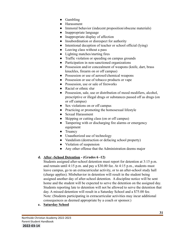- Gambling
- Harassment
- Immoral behavior (indecent proposition/obscene materials)
- Inappropriate language
- Inappropriate display of affection
- Insubordination or disrespect for authority
- Intentional deception of teacher or school official (lying)
- Leaving class without a pass
- Lighting matches/starting fires
- Traffic violation or speeding on campus grounds
- Participation in non-sanctioned organizations
- Possession and/or concealment of weapons (knife, dart, brass knuckles, firearm on or off campus)
- Possession or use of aerosol/chemical weapons
- Possession or use of tobacco products or vape
- Possession, use or sale of fireworks
- Racial or ethnic slur
- Possession, sale, use or distribution of mood modifiers, alcohol, prescriptive or illegal drugs or substances passed off as drugs (on or off campus)
- Sex violations on or off campus
- Practicing or promoting the homosexual lifestyle
- Sexual Harassment
- Skipping or cutting class (on or off campus)
- Tampering with or discharging fire alarms or emergency equipment
- Truancy
- Unauthorized use of technology
- Vandalism (destruction or defacing school property)
- Violation of suspension
- Any other offense that the Administration deems major

# **d. After -School Detention - (Grades 6 -12)**

Students assigned after-school detention must report for detention at 3:15 p.m. and remain until 4:15 p.m. and pay a \$30.00 fee. At 4:15 p.m., students must leave campus, go to an extracurricular activity, or to an after-school study hall (charge applies). Misbehavior in detention will result in the student being assigned another day of after-school detention. A discipline notice will be sent home and the student will be expected to serve the detention on the assigned day. Students reporting late to detention will not be allowed to serve the detention that day. A missed detention will result in a Saturday School and a \$75.00 fee. Note: (Students participating in extracurricular activities may incur additional consequences as deemed appropriate by a coach or sponsor.)

**e. Saturday School**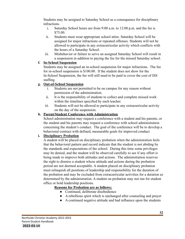Students may be assigned to Saturday School as a consequence for disciplinary infractions.

- i. Saturday School hours are from 9:00 a.m. to 12:00 p.m. and the fee is \$75.00.
- ii. Students must wear appropriate school attire. Saturday School will be assigned for major infractions or repeated offenses. Students will not be allowed to participate in any extracurricular activity which conflicts with the hours of a Saturday School.
- iii. Misbehavior or failure to serve an assigned Saturday School will result in a suspension in addition to paying the fee for the missed Saturday school.

#### **f. In-School Suspension**

Students may be assigned an in-school suspension for major infractions. The fee for in-school suspension is \$100.00. If the student does not show for the In-School Suspension, the fee will still need to be paid to cover the cost of ISS staffing.

#### **g. Out-of-School Suspension**

- i. Students are not permitted to be on campus for any reason without permission of the administration.
- ii. It is the responsibility of students to collect and complete missed work within the timelines specified by each teacher.
- iii. Students will not be allowed to participate in any extracurricular activity on the day of the suspension.

#### **h. Parent/Student Conference with Administration**

School administration may request a conference with a student and his parents, or the student and his parents may request a conference with school administration concerning the student's conduct. The goal of the conference will be to develop a behavioral contract with defined, measurable goals for improved conduct

#### **i. Disciplinary Probation**

A student will be placed on disciplinary probation when the administration feels that the behavioral pattern and record indicate that the student is not abiding by the standards and expectations of the school. During this time some privileges may be denied, and the student will be observed carefully to see if any effort is being made to improve both attitudes and actions. The administration reserves the right to dismiss a student whose attitude and actions during the probation period are not deemed acceptable. A student placed on disciplinary probation must relinquish all positions of leadership and responsibility for the duration of the probation and may be excluded from extracurricular activities for a duration as determined by the administration. A student on probation may not run for student office or hold leadership positions.

#### **Reasons for Probation are as follows:**

- Continued, deliberate disobedience
- A rebellious spirit which is unchanged after counseling and prayer
- A continued negative attitude and bad influence upon the students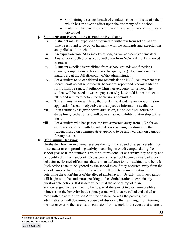- Committing a serious breach of conduct inside or outside of school which has an adverse effect upon the testimony of the school
- Failure of the parent to comply with the disciplinary philosophy of the school

#### **j. Standards and Expectations Regarding Expulsions**

- i. A student may be expelled or required to withdraw from school at any time he is found to be out of harmony with the standards and expectations and policies of the school.
- ii. An expulsion from NCA may be as long as two consecutive semesters.
- iii. Any senior expelled or asked to withdraw from NCA will not be allowed to return.
- iv. A student expelled is prohibited from school grounds and functions (games, competitions, school plays, banquets, etc.). Decisions in these matters are at the full discretion of the administration.
- v. For a student to be considered for readmission to NCA, achievement test scores, most recent report cards, behavioral report and recommendation forms must be sent to Northside Christian Academy for review. The student will be asked to write a paper on why he should be readmitted to NCA and will meet before the admissions committee.
- vi. The administration will have the freedom to decide upon a re-admission application based on objective and subjective information available.
- vii. If an affirmative is given for re-admission, the student will return on disciplinary probation and will be in an accountability relationship with a mentor.
- viii. For a student who has passed the two semesters away from NCA for an expulsion or forced withdrawal and is not seeking re-admission, the student must gain administrative approval to be allowed back on campus for any reason.

#### **k. Off Campus Behavior**

Northside Christian Academy reserves the right to suspend or expel a student for misconduct or compromising activity occurring on or off campus during the school year or in the summer. This form of misconduct or activity may or may not be identified in this handbook. Occasionally the school becomes aware of student behavior performed off campus that is open defiance to our teachings and beliefs. Such actions cannot be ignored by the school even if they occurred away from the school campus. In these cases, the school will initiate an investigation to determine the truthfulness of the alleged misbehavior. Usually this investigation will begin with the student(s) speaking to the administration to explain any questionable actions. If it is determined that the actions reported are acknowledged by the student to be true, or if there exist two or more credible witnesses to the behavior in question, parents will then be called and asked to meet with the administration.After the conference with the parents, the administration will determine a course of discipline that can range from turning the matter over to the parents, to expulsion from school. In the event that a parent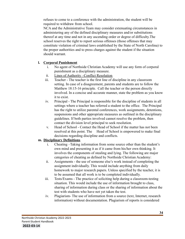refuses to come to a conference with the administration, the student will be required to withdraw from school.

NCA and the Administrative Team may consider extenuating circumstances in administering any of the defined disciplinary measures and/or substitutions thereof at any time and not in any ascending order or degree of difficulty.The school reserves the right to report serious offenses (those offenses that may constitute violation of criminal laws established by the State of North Carolina) to the proper authorities and to press charges against the student if the situation should warrant.

#### **l. Corporal Punishment**

- i. No agent of Northside Christian Academy will use any form of corporal punishment as a disciplinary measure.
- ii. Lines of Authority –Conflict Resolution
- iii. Teacher The teacher is the first line of discipline in any classroom setting. In case of a disagreement, parents and students are to follow the Matthew 18:15-16 principle. Call the teacher or the person directly involved. In a concise and accurate manner, state the problem as you know it to exist.
- iv. Principal The Principal is responsible for the discipline of students in all settings where a teacher has referred a student to the office. The Principal has the right to utilize parental conferences, work assignments, detentions, suspensions and other appropriate measures as outlined in the disciplinary guidelines. If both parties involved cannot resolve the problem, then contact the division level principal to seek resolution.
- v. Head of School Contact the Head of School if the matter has not been resolved at this point. The Head of School is empowered to make final decisions regarding discipline and conflicts.

#### **m. Disciplinary Definitions**

- i. Cheating –Taking information from some source other than the student's own mind and presenting it as if it came from his/her own thinking. It involves the components of stealing and lying. The following are major categories of cheating as defined by Northside Christian Academy:
- ii. Assignments the use of someone else's work instead of completing the assignment individually. This would include anything from daily homework to major research papers. Unless specified by the teacher, it is to be assumed that all work is to be completed individually.
- iii. Tests/Exams The practice of soliciting help during a classroom-testing situation. This would include the use of information brought to class, sharing of information during class or the sharing of information about the test with students who have not yet taken the test.
- iv. Plagiarism- The use of information from a source (text, Internet, research information) without documentation. Plagiarism of reports is considered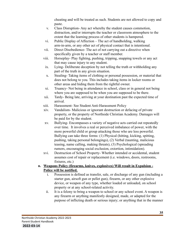cheating and will be treated as such. Students are not allowed to copy and paste.

- v. Class Disruption- Any act whereby the student causes commotion, distraction, and/or interrupts the teacher or classroom atmosphere to the extent that the learning process of other students is hampered.
- vi. Public Display of Affection The act of handholding, walking arm-in-arm, or any other act of physical contact that is intentional.
- vii. Direct Disobedience- The act of not carrying out a directive when specifically given by a teacher or staff member.
- viii. Horseplay- Play fighting, pushing, tripping, snapping towels or any act that may cause injury to any student.
- ix. Lying- Deliberate deception by not telling the truth or withholding any part of the truth in any given situation.
- x. Stealing- Taking items of clothing or personal possession, or material that does not belong to you. This includes taking items in locker rooms or other areas and hiding them from the rightful owner.
- xi. Truancy- Not being in attendance in school, class or in general not being where you are supposed to be when you are supposed to be there.
- xii. Tardy- Being late, arriving at your destination past the expected time of arrival.
- xiii. Harassment- See Student Anti-Harassment Policy
- xiv. Vandalism- Malicious or ignorant destruction or defacing of private property, or the property of Northside Christian Academy. Damages will be paid for by the student.
- xv. Bullying- Encompasses a variety of negative acts carried out repeatedly over time. It involves a real or perceived imbalance of power, with the more powerful child or group attacking those who are less powerful. Bullying can take three forms: (1) Physical (hitting, kicking, spitting, pushing, taking personal belongings), (2) Verbal (taunting, malicious teasing, name calling, making threats), (3) Psychological (spreading rumors, encouraging social exclusion, extortion, intimidation).
- xvi. Destruction of School Property- Whether intended or accidental, student assumes cost of repair or replacement (i.e. windows, doors, restrooms, fixtures, etc.)

#### **n. Weapons Policy (firearms, knives, explosives) Will result in Expulsion - Police will be notified.**

- i. Possession is defined as transfer, sale, or discharge of any gun (including a starter gun, airsoft gun or pellet gun), firearm, or any other explosive device, or weapon of any type, whether loaded or unloaded, on school property or at any school-related activity.
- ii. It is a felony to bring a weapon to school or any school event. A weapon is any firearm or anything manifestly designed, made, or adapted for the purpose of inflicting death or serious injury; or anything that in the manner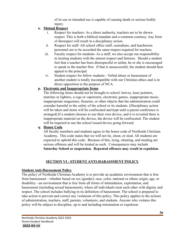of its use or intended use is capable of causing death or serious bodily injury.

## **o. Mutual Respect**

- i. Respect for teachers- As a direct authority, teachers are to be shown respect. This is both a biblical mandate and a common courtesy. Any form of disrespect will result in a disciplinary action.
- ii. Respect for staff- All school office staff, custodians, and lunchroom personnel are to be accorded the same respect required for teachers.
- iii. Faculty respect for students- As a staff, we also accept our responsibility in treating students with the utmost respect and fairness. Should a student feel that a teacher has been disrespectful or unfair, he or she is encouraged to speak to the teacher first. If that is unsuccessful, the student should then appeal to the principal.
- iv. Student respect for fellow students Verbal abuse or harassment of another student is totally incompatible with our Christian ethics and is in direct opposition to the purpose of NCA.

## **p. Electronic and Inappropriate Items**

The following items should not be brought to school: knives, laser pointers, matches or lighters, e-cigs or vaporizers, electronic games, inappropriate music, inappropriate magazines, firearms, or other objects that the administration could consider harmful to the safety of the school or its students. (Disciplinary action will be taken and items will be confiscated and kept until a parent conference is arranged).If a student chooses to use their own device, and it is revealed there is inappropriate material on the device, the device will be confiscated. The student will be required to use the school issued device going forward.

## **q. Honor Code**

All faculty members and students agree to the honor code of Northside Christian Academy. This code states that we will not lie, cheat, or steal. All students are expected to uphold this code. Because of this, lying, cheating, and stealing are serious offenses and will be treated as such. Consequences may include **Saturday School or suspension. Repeated offenses may result in expulsion.**

# **SECTION VI - STUDENT ANTI-HARASSMENT POLICY**

# **Student Anti-Harassment Policy**

The policy of Northside Christian Academy is to provide an academic environment that is free from harassment—whether based on sex (gender), race, color, national or ethnic origin, age, or disability—an environment that is free from all forms of intimidation, exploitation, and harassment (including sexual harassment), where all individuals treat each other with dignity and respect. The school includes bullying in its definition of harassment. The school is prepared to take action to prevent and correct any violations of this policy. This policy applies to the actions of administration, teachers, staff, parents, volunteers, and students. Anyone who violates this policy will be subject to discipline, up to and including termination or expulsion.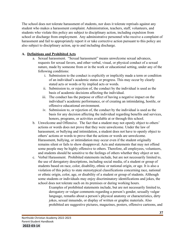The school does not tolerate harassment of students, nor does it tolerate reprisals against any student who makes a harassment complaint. Administration, teachers, staff, volunteers, and students who violate this policy are subject to disciplinary action, including expulsion from school or discharge from employment. Any administrative personnel who receive a complaint of harassment and fail to appropriately report it or take corrective action pursuant to this policy are also subject to disciplinary action, up to and including discharge.

## **A. Definitions and Prohibited Acts**

- a. Sexual harassment. "Sexual harassment" means unwelcome sexual advances, requests for sexual favors, and other verbal, visual, or physical conduct of a sexual nature, made by someone from or in the work or educational setting, under any of the following conditions:
	- i. Submission to the conduct is explicitly or implicitly made a term or condition of an individual's academic status or progress. This may occur by clearly stated acts or words or by implied acts or words.
	- ii. Submission to, or rejection of, the conduct by the individual is used as the basis of academic decisions affecting the individual.
	- iii. The conduct has the purpose or effect of having a negative impact on the individual's academic performance, or of creating an intimidating, hostile, or offensive educational environment.
	- iv. Submission to, or rejection of, the conduct by the individual is used as the basis for any decision affecting the individual regarding benefits and services, honors, programs, or activities available at or through this school.
- b. Unwelcome and Offensive. The fact that a student may not openly object to others' actions or words does not prove that they were unwelcome. Under the law of harassment, or bullying and intimidation, a student does not have to openly object to others' actions or words to prove that the actions or words are unwelcome. Harassment, bullying, or intimidation may occur even if the student originally remains silent or fails to show disapproval. Acts and statements that may not offend some people may be highly offensive to others. Therefore, all employees, volunteers, and students should be sensitive to the feelings of others whether they object or not.
- c. Verbal Harassment. Prohibited statements include, but are not necessarily limited to, the use of derogatory descriptions, including social media, of a student or group of students based on race, color, disability, ethnic or national origin, or age. It is also a violation of this policy to state stereotypical classifications concerning race, national or ethnic origin, color, age, or disability of a student or group of students. Although some students or individuals may enjoy discriminatory identifications and jokes, the school does not tolerate such on its premises or during working hours.

Examples of prohibited statements include, but are not necessarily limited to, derogatory or vulgar comments regarding a person's gender, sexually vulgar language, remarks about a person's physical anatomy or characteristics, dirty jokes, sexual innuendo, or display of written or graphic materials. Also prohibited are suggestive pictures, magazines, posters, offensive cartoons, and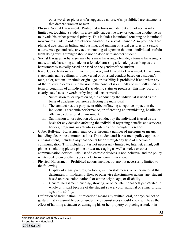other words or pictures of a suggestive nature. Also prohibited are statements that demean women or men.

- d. Physical Sexual Harassment. Prohibited actions include, but are not necessarily limited to, touching a student in a sexually suggestive way, or touching another so as to invade his or her personal privacy. This includes intentional touching or intentional movements made in order to observe another in a sexual manner. Also prohibited are physical acts such as hitting and pushing, and making physical gestures of a sexual nature. As a general rule, any act or touching of a person that most individuals refrain from doing with a stranger should not be done with another student.
- e. Sexual Harasser. A harasser may be a male harassing a female, a female harassing a male, a male harassing a male, or a female harassing a female, just as long as the harassment is sexually based or based on the gender of the student.
- f. Race, Color, National or Ethnic Origin, Age, and Disability Harassment. Unwelcome statements, name calling, or other verbal or physical conduct based on a student's race, color, national or ethnic origin, age, or disability is prohibited if and when any of the following occurs: Submission to the conduct is explicitly or implicitly made a term or condition of an individual's academic status or progress. This may occur by clearly stated acts or words or by implied acts or words.
	- i. Submission to, or rejection of, the conduct by the individual is used as the basis of academic decisions affecting the individual.
	- ii. The conduct has the purpose or effect of having a negative impact on the individual's academic performance, or of creating an intimidating, hostile, or offensive educational environment.
	- iii. Submission to, or rejection of, the conduct by the individual is used as the basis for any decision affecting the individual regarding benefits and services, honors, programs, or activities available at or through this school.
- g. Cyber Bullying. Harassment may occur through a number of mediums or means, including electronic communications. The student anti-harassment policy applies to all harassment, including any that occurs by or through any type of electronic communication. This includes, but is not necessarily limited to, Internet, email, cell phones (including picture phone or text messaging as well as voice or other communication devices. This list of electronic devices is not inclusive, and the policy is intended to cover other types of electronic communication.
- h. Physical Harassment. Prohibited actions include, but are not necessarily limited to the following:
	- i. Display of signs, pictures, cartoons, written statements, or other material that denigrates, intimidates, bullies, or otherwise discriminates against any student based on race, color, national or ethnic origin, age, or disability.
	- ii. General harassment, pushing, shoving, or other intentional acts perpetrated in whole or in part because of the student's race, color, national or ethnic origin, age, or disability.
- i. Definition of Intimidation. Intimidation" means any written, oral, or physical act or gesture that a reasonable person under the circumstances should know will have the effect of harming a student or damaging his or her property or placing a student in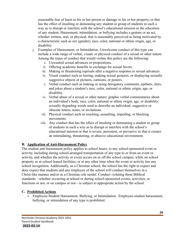reasonable fear of harm to his or her person or damage to his or her property, or that has the effect of insulting or demeaning any student or group of students in such a way as to disrupt or interfere with the school's educational mission or the education of any student. Harassment, intimidation, or bullying includes a gesture or an act, whether written, oral, or physical, that is reasonably perceived as being motivated by a characteristic such as sex (gender), race, color, national or ethnic origin, age, or disability.

- j. Examples of Harassment, or Intimidation. Unwelcome conduct of this type can include a wide range of verbal, visual, or physical conduct of a sexual or other nature. Among the types of conduct that would violate this policy are the following:
	- i. Unwanted sexual advances or propositions.
	- ii. Offering academic benefits in exchange for sexual favors.
	- iii. Making or threatening reprisals after a negative response to sexual advances.
	- iv. Visual conduct such as leering, making sexual gestures, or displaying sexually suggestive objects or pictures, cartoons, or posters.
	- v. Verbal conduct such as making or using derogatory comments, epithets, slurs, and jokes about a student's race, color, national or ethnic origin, age, or disability.
	- vi. Verbal abuse of a sexual or other nature; graphic verbal commentaries about an individual's body, race, color, national or ethnic origin, age, or disability; sexually degrading words used to describe an individual; suggestive or obscene letters, notes, or invitations.
	- vii. Physical conduct such as touching, assaulting, impeding, or blocking movements.
	- viii. Any conduct that has the effect of insulting or demeaning a student or group of students in such a way as to disrupt or interfere with the school's educational mission or that is severe, persistent, or pervasive so that it creates an intimidating, threatening, or abusive educational environment.

## **B. Application of Anti-Harassment Policy**

The student anti-harassment policy applies to school hours; to any school-sponsored event or activity, including during school-arranged transportation of any type to or from an event or activity, and whether the activity or event occurs on or off the school campus; while on school property or at school-leased facilities; or at any other time when the event or activity has any school recognition. Additionally, as a Christian school, the school has the right to expect and does expect that students and any employee of the school will conduct themselves in a Christ-like manner and/or as a Christian role model. Conduct violating these Biblical standards—whether occurring at school or during school-sponsored events, activities, or functions or not, or on campus or not—is subject to appropriate action by the school.

## **C. Prohibited Actions**

1. Employee-Student Harassment, Bullying, or Intimidation. Employee-student harassment, bullying, or intimidation of any type is prohibited.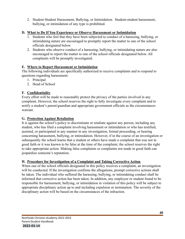2. Student-Student Harassment, Bullying, or Intimidation. Student-student harassment, bullying, or intimidation of any type is prohibited.

## **D. What to Do If You Experience or Observe Harassment or Intimidation**

- 1. Students who feel that they have been subjected to conduct of a harassing, bullying, or intimidating nature are encouraged to promptly report the matter to one of the school officials designated below.
- 2. Students who observe conduct of a harassing, bullying, or intimidating nature are also encouraged to report the matter to one of the school officials designated below. All complaints will be promptly investigated.

## **E. Where to Report Harassment or Intimidation**

The following individuals are specifically authorized to receive complaints and to respond to questions regarding harassment:

- 1. Principal
- 2. Head of School

## **F. Confidentiality**

Every effort will be made to reasonably protect the privacy of the parties involved in any complaint. However, the school reserves the right to fully investigate every complaint and to notify a student's parent/guardian and appropriate government officials as the circumstances warrant.

## **G. Protection Against Retaliation**

It is against the school's policy to discriminate or retaliate against any person, including any student, who has filed a complaint involving harassment or intimidation or who has testified, assisted, or participated in any manner in any investigation, formal proceeding, or hearing concerning harassment, bullying, or intimidation. However, if in the course of an investigation or subsequently the school learns that a student or others have made a complaint that was not in good faith or it was known to be false at the time of the complaint, the school reserves the right to take appropriate action. Making false complaints or complaints not made in good faith can jeopardize someone's reputation.

## **H. Procedure for Investigation of a Complaint and Taking Corrective Action**

When one of the school officials designated in this policy receives a complaint, an investigation will be conducted. If the investigation confirms the allegations, prompt corrective actions shall be taken. The individual who suffered the harassing, bullying, or intimidating conduct shall be informed that corrective action has been taken. In addition, any employee or student found to be responsible for harassment, bullying, or intimidation in violation of this policy will be subject to appropriate disciplinary action up to and including expulsion or termination. The severity of the disciplinary action will be based on the circumstances of the infraction.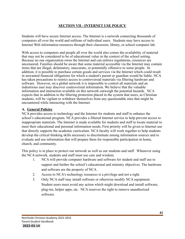## **SECTION VII - INTERNET USE POLICY**

Students will have secure Internet access. The Internet is a network connecting thousands of computers all over the world and millions of individual users. Students may have access to Internet Web information resources through their classroom, library, or school computer lab.

With access to computers and people all over the world also comes the availability of material that may not be considered to be of educational value in the context of the school setting. Because no one organization owns the Internet and can enforce regulations, resources are uncensored. Families should be aware that some material accessible via the Internet may contain items that are illegal, defamatory, inaccurate, or potentially offensive to some people. In addition, it is possible to purchase certain goods and services via the Internet which could result in unwanted financial obligations for which a student's parent or guardian would be liable. NCA has taken precautions to restrict access to controversial materials via filtering hardware and software. However, on a global network it is impossible to control all materials and an industrious user may discover controversial information. We believe that the valuable information and interaction available on this network outweigh the potential hazards. NCA expects that in addition to the filtering protection placed in the system that users, as Christian students, will be vigilant to withdraw themselves from any questionable sites that might be encountered while interacting with the Internet.

### **A. General Policies**

NCA provides access to technology and the Internet for students and staff to enhance the school's educational program. NCA provides a filtered Internet service to help prevent access to inappropriate materials. The Internet is made available for students and staff to locate material to meet their educational and personal information needs. First priority will be given to Internet use that directly supports the academic curriculum. NCA faculty will work together to help students develop the critical thinking skills necessary to discriminate among information sources and to evaluate and use information that will prepare them for responsible participation in home, church, and community.

This policy is in place to protect our network as well as our students and staff. Whenever using the NCA network, students and staff must use care and wisdom.

- 1. NCA will provide computer hardware and software for student and staff use to support and further the school's educational and ministry objectives. The hardware and software are the property of NCA.
- 2. Access to NCA's technology resources is a privilege and not a right.
- 3. Only NCA staff may install software or otherwise modify NCA equipment. Student users must avoid any action which might download and install software, plug-ins, helper apps, etc. NCA reserves the right to remove unauthorized software.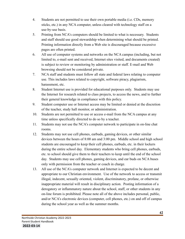- 4. Students are not permitted to use their own portable media (i.e. CDs, memory sticks, etc.) in any NCA computer, unless cleared with technology staff on a use-by-use basis.
- 5. Printing from NCA's computers should be limited to what is necessary. Students and staff should use good stewardship when determining what should be printed. Printing information directly from a Web site is discouraged because excessive pages are often printed.
- 6. All use of computer systems and networks on the NCA campus (including, but not limited to, e-mail sent and received, Internet sites visited, and documents created) is subject to review or monitoring by administration or staff. E-mail and Web browsing should not be considered private.
- 7. NCA staff and students must follow all state and federal laws relating to computer use. This includes laws related to copyright, software piracy, plagiarism, harassment, etc.
- 8. Student Internet use is provided for educational purposes only. Students may use the Internet for research related to class projects, to access the news, and to further their general knowledge in compliance with this policy.
- 9. Student computer use or Internet access may be limited or denied at the discretion of the teacher, study hall monitor, or administration.
- 10. Students are not permitted to use or access e-mail from the NCA campus at any time unless specifically directed to do so by a teacher.
- 11. Students may not use the NCA's computer network to participate in on-line chat rooms.
- 12. Students may not use cell phones, earbuds, gaming devices, or other similar devices between the hours of 8:00 am and 3:00 pm. Middle school and high school students are encouraged to keep their cell phones, earbuds, etc. in their lockers during the entire school day. Elementary students who bring cell phones, earbuds, etc. to school should give them to their teachers to keep until the end of the school day. Students may use cell phones, gaming devices, and ear buds on NCA buses only with permission from the teacher or coach in charge.
- 13. All use of the NCA's computer network and Internet is expected to be decent and appropriate to our Christian environment. Use of the network to access or transmit illegal, indecent, sexually oriented, violent, discriminatory, profane, or otherwise inappropriate material will result in disciplinary action. Posting information of a derogatory or inflammatory nature about the school, staff, or other students in any on-line forum is prohibited. Please note all of the above includes personal, public, and/or NCA's electronic devices (computer, cell phones, etc.) on and off of campus during the school year as well as the summer months.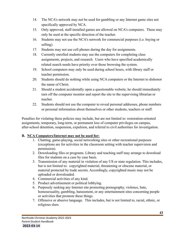- 14. The NCA's network may not be used for gambling or any Internet game sites not specifically approved by NCA.
- 15. Only approved, staff-installed games are allowed on NCA's computers. These may only be used at the specific direction of the teacher.
- 16. Students may not use the NCA's network for commercial purposes (i.e. buying or selling).
- 17. Students may not use cell phones during the day for assignments.
- 18. Currently enrolled students may use the computers for completing class assignments, projects, and research. Users who have specified academically related search needs have priority over those browsing the system.
- 19. School computers may only be used during school hours, with library staff or teacher permission.
- 20. Students should do nothing while using NCA computers or the Internet to dishonor the name of Christ.
- 21. Should a student accidentally open a questionable website, he should immediately turn off the computer monitor and report the site to the supervising librarian or teacher.
- 22. Students should not use the computer to reveal personal addresses, phone numbers or personal information about themselves or other students, teachers or staff.

Penalties for violating these policies may include, but are not limited to: restoration-oriented assignments, temporary, long-term, or permanent loss of computer privileges on campus, after-school detention, suspension, expulsion, and referral to civil authorities for investigation.

## **B. NCA Computers/Internet may not be used for:**

- 1. Chatting, game-playing, social networking sites or other recreational purposes (exceptions are for activities in the classroom setting with teacher supervision and permission).
- 2. Downloading files or programs. Library and teaching staff may arrange to download files for students on a case by case basis.
- 3. Transmission of any material in violation of any US or state regulation. This includes, but is not limited to: copyrighted material, threatening or obscene material, or material protected by trade secrets. Accordingly, copyrighted music may not be uploaded or downloaded.
- 4. Commercial activities of any kind.
- 5. Product advertisement or political lobbying.
- 6. Purposely seeking any Internet site promoting pornography, violence, hate, homosexuality, gambling, harassment, or any entertainment sites concerning people or activities that promote these things.
- 7. Offensive or abusive language. This includes, but is not limited to, racial, ethnic, or religious slurs.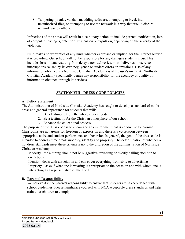8. Tampering, pranks, vandalism, adding software, attempting to break into unauthorized files, or attempting to use the network in a way that would disrupt network use by others.

Infractions of the above will result in disciplinary action, to include parental notification, loss of computer privileges, detention, suspension or expulsion, depending on the severity of the violation.

NCA makes no warranties of any kind, whether expressed or implied, for the Internet service it is providing. Our school will not be responsible for any damages students incur. This includes loss of data resulting from delays, non-deliveries, miss-deliveries, or service interruptions caused by its own negligence or student errors or omissions. Use of any information obtained via Northside Christian Academy is at the user's own risk. Northside Christian Academy specifically denies any responsibility for the accuracy or quality of information obtained through its services.

## **SECTION VIII - DRESS CODE POLICIES**

## **A. Policy Statement**

The Administration of Northside Christian Academy has sought to develop a standard of modest dress and general appearance for students that will:

- 1. Be a testimony from the whole student body.
- 2. Be a testimony for the Christian atmosphere of our school.
- 3. Enhance the educational process.

The purpose of the dress code is to encourage an environment that is conducive to learning. Classrooms are not arenas for freedom of expression and there is a correlation between appropriate attire and student performance and behavior. In general, the goal of the dress code is intended to address three areas: modesty, identity and propriety. The determination of whether or not dress standards meet these criteria is up to the discretion of the administration of Northside Christian Academy.

Modesty –the clothing should not be suggestive, revealing or overtly calling attention to one's body

Identity –deals with association and can cover everything from style to advertising Propriety – asks if what one is wearing is appropriate to the occasion and with whom one is interacting as a representative of the Lord.

## **B. Parental Responsibility**

We believe it is the parent's responsibility to ensure that students are in accordance with school guidelines. Please familiarize yourself with NCA acceptable dress standards and help train your children to comply.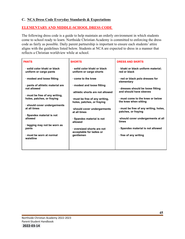#### **C. NCA Dress Code Everyday Standards & Expectations**

### **ELEMENTARY AND MIDDLE-SCHOOL DRESS CODE**

The following dress code is a guide to help maintain an orderly environment in which students come to school ready to learn. Northside Christian Academy is committed to enforcing the dress code as fairly as possible. Daily parent partnership is important to ensure each students' attire aligns with the guidelines listed below. Students at NCA are expected to dress in a manner that reflects a Christian worldview while at school.

| <b>PANTS</b>                                         | <b>SHORTS</b>                                                 | <b>DRESS AND SKIRTS</b>                                    |
|------------------------------------------------------|---------------------------------------------------------------|------------------------------------------------------------|
| solid color khaki or black<br>uniform or cargo pants | $\cdot$ solid color khaki or black<br>uniform or cargo shorts | · khaki or black uniform material;<br>red or black         |
| · modest and loose fitting                           | come to the knee                                              | · red or black polo dresses for<br>elementary              |
| · pants of athletic material are                     | · modest and loose fitting                                    |                                                            |
| not allowed                                          |                                                               | dresses should be loose fitting                            |
|                                                      | athletic shorts are not allowed                               | and should have sleeves                                    |
| must be free of any writing,                         |                                                               |                                                            |
| holes, patches, or fraying                           | must be free of any writing,<br>holes, patches, or fraying    | must come to the knee or below<br>the knee when sitting    |
| · should cover undergarments                         |                                                               |                                                            |
| at all times                                         | ·should cover undergarments<br>at all times                   | must be free of any writing, holes,<br>patches, or fraying |
| · Spandex material is not                            |                                                               |                                                            |
| allowed                                              | · Spandex material is not<br>allowed                          | ·should cover undergarments at all<br>times                |
| · legging may not be worn as                         |                                                               |                                                            |
| pants                                                | oversized shorts are not<br>acceptable for ladies or          | · Spandex material is not allowed                          |
| · must be worn at normal<br>waistline                | gentlemen                                                     | free of any writing                                        |
|                                                      |                                                               |                                                            |
|                                                      |                                                               |                                                            |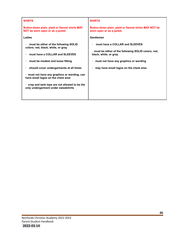| <b>SHIRTS</b>                                                                                                                                                                                                                                                                                                                                                                     | <b>SHIRTS</b>                                                                                                                                                                                                      |
|-----------------------------------------------------------------------------------------------------------------------------------------------------------------------------------------------------------------------------------------------------------------------------------------------------------------------------------------------------------------------------------|--------------------------------------------------------------------------------------------------------------------------------------------------------------------------------------------------------------------|
| Button-down plain, plaid or flannel shirts MAY<br>NOT be worn open or as a jacket.                                                                                                                                                                                                                                                                                                | Button-down plain, plaid or flannel shirts MAY NOT be<br>worn open or as a jacket.                                                                                                                                 |
| Ladies                                                                                                                                                                                                                                                                                                                                                                            | Gentlemen                                                                                                                                                                                                          |
| must be either of the following SOLID<br>colors; red, black, white, or gray<br>must have a COLLAR and SLEEVES<br>must be modest and loose fitting<br>should cover undergarments at all times<br>· must not have any graphics or wording, can<br>have small logos on the chest area<br>$\cdot$ crop and tank tops are not allowed to be the<br>only undergarment under sweatshirts | must have a COLLAR and SLEEVES<br>$\blacksquare$<br>must be either of the following SOLID colors; red,<br>black, white, or gray<br>must not have any graphics or wording<br>may have small logos on the chest area |
|                                                                                                                                                                                                                                                                                                                                                                                   |                                                                                                                                                                                                                    |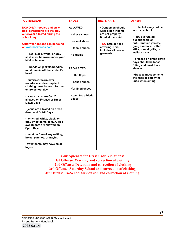| <b>OUTERWEAR</b>                                                                                                                                                                                                                                                                                                                      | <b>SHOES</b>                                                                                              | <b>BELTS/HATS</b>                                                                                                                                                    | <b>OTHER:</b>                                                                                                                                                                                                                                                     |
|---------------------------------------------------------------------------------------------------------------------------------------------------------------------------------------------------------------------------------------------------------------------------------------------------------------------------------------|-----------------------------------------------------------------------------------------------------------|----------------------------------------------------------------------------------------------------------------------------------------------------------------------|-------------------------------------------------------------------------------------------------------------------------------------------------------------------------------------------------------------------------------------------------------------------|
| <b>NCA ONLY hoodies and crew</b><br>neck sweatshirts are the only<br>outerwear allowed during the<br>school day.<br><b>Outerwear options can be found</b><br>on awardsexpress.com<br>red. black, white, or gray<br>shirt must be worn under your<br><b>NCA outerwear</b><br>hoods on jackets/hoodies<br>must remain off the student's | <b>ALLOWED</b><br>$\cdot$ dress shoes<br>· casual shoes<br>tennis shoes<br>· sandals<br><b>PROHIBITED</b> | · Gentlemen should<br>wear a belt if pants<br>are not properly<br>fitted at the waist<br>NO hats or head<br>covering. This<br>includes all hooded<br><b>garments</b> | blankets may not be<br>worn at school<br>NO overstated<br>questionable or<br>anti-Christian jewelry,<br>gang symbols, Gothic<br>attire, dental grills, or<br>wallet chains<br>· dresses on dress down<br>days should be loose<br>fitting and must have<br>sleeves |
| head<br>· outerwear worn over<br>non-dress code compliant<br>clothing must be worn for the                                                                                                                                                                                                                                            | flip flops<br>· house shoes<br>fur-lined shoes                                                            |                                                                                                                                                                      | $\cdot$ dresses must come to<br>the knee or below the<br>knee when sitting                                                                                                                                                                                        |
| entire school day<br>· sweatpants are ONLY<br>allowed on Fridays or Dress<br><b>Down Days</b>                                                                                                                                                                                                                                         | open toe athletic<br>slides                                                                               |                                                                                                                                                                      |                                                                                                                                                                                                                                                                   |
| · jeans are allowed on dress<br>down and Spirit Days<br>· only red, white, black, or<br>gray sweatpants or NCA logo<br>sweatpants are allowed on                                                                                                                                                                                      |                                                                                                           |                                                                                                                                                                      |                                                                                                                                                                                                                                                                   |
| <b>Spirit Days</b><br>· must be free of any writing,<br>holes, patches, or fraying<br>· sweatpants may have small<br>logos                                                                                                                                                                                                            |                                                                                                           |                                                                                                                                                                      |                                                                                                                                                                                                                                                                   |

**Consequences for Dress Code Violations: 1st Offense: Warning and correction of clothing 2nd Offense: Detention and correction of clothing 3rd Offense: Saturday School and correction of clothing 4th Offense: In-School Suspension and correction of clothing**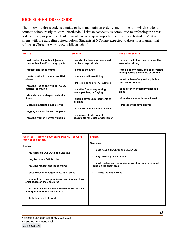#### **HIGH-SCHOOL DRESS CODE**

The following dress code is a guide to help maintain an orderly environment in which students come to school ready to learn. Northside Christian Academy is committed to enforcing the dress code as fairly as possible. Daily parent partnership is important to ensure each students' attire aligns with the guidelines listed below. Students at NCA are expected to dress in a manner that reflects a Christian worldview while at school.

| <b>PANTS</b>                                                               | <b>SHORTS</b>                                               | <b>DRESS AND SKIRTS</b>                                                       |
|----------------------------------------------------------------------------|-------------------------------------------------------------|-------------------------------------------------------------------------------|
| · solid color blue or black jeans or<br>khaki or black uniform cargo pants | · solid color jean shorts or khaki<br>or black cargo shorts | must come to the knee or below the<br>knee when sitting                       |
| modest and loose fitting                                                   | come to the knee                                            | can be of any color, free of oversized<br>writing across the middle or bottom |
| pants of athletic material are NOT                                         | modest and loose fitting                                    |                                                                               |
| allowed                                                                    |                                                             | must be free of any writing, holes,                                           |
|                                                                            | athletic shorts are NOT allowed                             | patches, or fraying                                                           |
| must be free of any writing, holes,                                        |                                                             |                                                                               |
| patches, or fraying                                                        | must be free of any writing,                                | should cover undergarments at all                                             |
|                                                                            | holes, patches, or fraying                                  | times                                                                         |
| · should cover undergarments at all                                        |                                                             |                                                                               |
| times                                                                      | · should cover undergarments at                             | · Spandex material is not allowed                                             |
|                                                                            | all times                                                   |                                                                               |
| Spandex material is not allowed                                            |                                                             | dresses must have sleeves                                                     |
|                                                                            | Spandex material is not allowed                             |                                                                               |
| legging may not be worn as pants                                           |                                                             |                                                                               |
|                                                                            | oversized shorts are not                                    |                                                                               |
| must be worn at normal waistline                                           | acceptable for ladies or gentlemen                          |                                                                               |
|                                                                            |                                                             |                                                                               |
|                                                                            |                                                             |                                                                               |

| Gentlemen<br>Ladies<br>must have a COLLAR and SLEEVES<br>must have a COLLAR and SLEEVES                                                                                                                                                                                                                                                                                                                                                | <b>Button-down shirts MAY NOT be worn</b><br><b>SHIRTS:</b><br>open or as a jacket. | <b>SHIRTS</b>             |
|----------------------------------------------------------------------------------------------------------------------------------------------------------------------------------------------------------------------------------------------------------------------------------------------------------------------------------------------------------------------------------------------------------------------------------------|-------------------------------------------------------------------------------------|---------------------------|
| may be of any SOLID color<br>must not have any graphics or wording, can have small<br>logos on the chest area<br>must be modest and loose fitting<br><b>T-shirts are not allowed</b><br>should cover undergarments at all times<br>must not have any graphics or wording, can have<br>small logos on the chest area<br>crop and tank tops are not allowed to be the only<br>undergarment under sweatshirts<br>T-shirts are not allowed |                                                                                     | may be of any SOLID color |

Northside Christian Academy 2022-2023 Parent-Student Handbook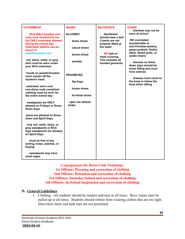| <b>OUTERWEAR</b>                                                                                                                                                                                                                                                                                                                                                                                                                                                                                                                                                                                                                                                                                                                                                   | <b>SHOES</b>                                                                                                                                                                              | <b>BELTS/HATS</b>                                                                                                                                                           | OTHER:                                                                                                                                                                                                                                                                                                                                |
|--------------------------------------------------------------------------------------------------------------------------------------------------------------------------------------------------------------------------------------------------------------------------------------------------------------------------------------------------------------------------------------------------------------------------------------------------------------------------------------------------------------------------------------------------------------------------------------------------------------------------------------------------------------------------------------------------------------------------------------------------------------------|-------------------------------------------------------------------------------------------------------------------------------------------------------------------------------------------|-----------------------------------------------------------------------------------------------------------------------------------------------------------------------------|---------------------------------------------------------------------------------------------------------------------------------------------------------------------------------------------------------------------------------------------------------------------------------------------------------------------------------------|
| <b>NCA ONLY hoodies and</b><br>crew neck sweatshirts are<br>the ONLY outerwear allowed<br>during the school day.<br><b>Outerwear options can be</b><br>found on<br>awardsexpress.com<br>·red. black, white, or gray<br>shirt must be worn under<br>your NCA outerwear<br>·hoods on jackets/hoodies<br>must remain off the<br>student's head<br>∙outerwear worn over<br>non-dress code compliant<br>clothing must be worn for<br>the entire school day<br>· sweatpants are ONLY<br>allowed on Fridays or Dress<br><b>Down Days</b><br>·jeans are allowed on dress<br>down and Spirit Days<br>only red, white, black, or<br>gray sweatpants or NCA<br>logo sweatpants are allowed<br>on Spirit Days<br>must be free of any<br>writing, holes, patches, or<br>fraying | <b>ALLOWED</b><br>dress shoes<br>$\bullet$<br>casual shoes<br>tennis shoes<br>sandals<br><b>PROHIBITED</b><br>flip flops<br>house shoes<br>fur-lined shoes<br>open toe athletic<br>slides | Gentlemen<br>should wear a belt<br>if pants are not<br>properly fitted at<br>the waist<br><b>NO hats or</b><br>×.<br>head covering.<br>This includes all<br>hooded garments | blankets may not be<br>worn at school<br>NO overstated<br>questionable or<br>anti-Christian jewelry,<br>gang symbols, Gothic<br>attire, dental grills, or<br>wallet chains<br>dresses on dress<br>down days should be<br>loose fitting and must<br>have sleeves<br>dresses must come to<br>the knee or below the<br>knee when sitting |
| sweatpants may have<br>small logos                                                                                                                                                                                                                                                                                                                                                                                                                                                                                                                                                                                                                                                                                                                                 |                                                                                                                                                                                           |                                                                                                                                                                             |                                                                                                                                                                                                                                                                                                                                       |

**Consequences for Dress Code Violations: 1st Offense: Warning and correction of clothing 2nd Offense: Detention and correction of clothing 3rd Offense: Saturday School and correction of clothing 4th Offense: In-School Suspension and correction of clothing**

#### **D. General Guidelines**

1. Clothing - All students should be modest and neat at all times. Boys' pants must be pulled up at all times. Students should refrain from wearing clothes that are too tight. Sleeveless shirts and tank tops are not permitted.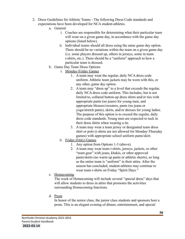- 2. Dress Guidelines for Athletic Teams The following Dress Code standards and expectations have been developed for NCA student-athletes.
	- a. General
		- i. Coaches are responsible for determining what their particular team will wear on a given game day, in accordance with the game day options (listed below).
		- ii. Individual teams should all dress using the same game day option. There should be no variations within the team on a given game day (i.e. some players dressed up, others in jerseys, some in team t-shirts, etc.). There should be a "uniform" approach to how a particular team is dressed.
	- b. Game Day Team Dress Options
		- i. Monday-Friday Games
			- 1. A team may wear the regular, daily NCA dress code uniform. Athletic team jackets may be worn with this, or any other, game day option.
			- 2. A team may "dress up" to a level that exceeds the regular, daily NCA dress code uniform. This includes, but is not limited to, collared button-up dress shirts and/or ties with appropriate pants (no jeans) for young men, and appropriate blouses/sweaters, pants (no jeans or yoga/stretch pants), skirts, and/or dresses for young ladies. The purpose of this option is to exceed the regular, daily dress code standards. Young men are expected to tuck in their dress shirts when wearing a tie.
			- 3. A team may wear a team jersey or designated team dress shirt or polo (t-shirts are not allowed for Monday-Thursday games) with appropriate school uniform pants/skirt.
		- ii. Friday (Only) Games
			- 1. Any option from Options 1-3 (above).
			- 2. A team may wear team t-shirts, jerseys, jackets, or other "team gear" with jeans, khakis, or other approved pants/skirts (no warm up pants or athletic shorts), so long as the entire team is "uniform" in their attire. After the season has concluded, student-athletes may continue to wear team t-shirts on Friday "Spirit Days."
	- c. Homecoming

The week of Homecoming will include several "special dress" days that will allow students to dress in attire that promotes the activities surrounding Homecoming functions.

d. Prom

In honor of the senior class, the junior class students and sponsors host a prom. This is an elegant evening of dinner, entertainment, and special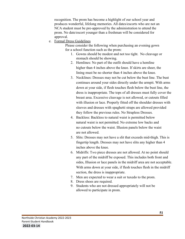recognition. The prom has become a highlight of our school year and produces wonderful, lifelong memories. All dates/escorts who are not an NCA student must be pre-approved by the administration to attend the prom. No date/escort younger than a freshman will be considered for approval.

e. Formal Dress Guidelines

Please consider the following when purchasing an evening gown for a school function such as the prom:

- 1. Gowns should be modest and not too tight. No cleavage or stomach should be showing.
- 2. Hemlines: No part of the outfit should have a hemline higher than 4 inches above the knee. If skirts are sheer, the lining must be no shorter than 4 inches above the knee.
- 3. Necklines: Dresses may not be cut below the bust line. The bust continues around your sides directly under the armpit. With arms down at your side, if flesh touches flesh below the bust line, the dress is inappropriate. The tops of all dresses must fully cover the breast area. Excessive cleavage is not allowed, or cutouts filled with illusion or lace. Properly fitted off the shoulder dresses with sleeves and dresses with spaghetti straps are allowed provided they follow the previous rules. No Strapless Dresses.
- 4. Backless: Backless to natural waist is permitted below natural waist is not permitted. No extreme low backs and no cutouts below the waist. Illusion panels below the waist are not allowed.
- 5. Slits: Dresses may not have a slit that exceeds mid-thigh. This is fingertip length. Dresses may not have slits any higher than 4 inches above the knee.
- 6. Midriffs: T*w*o piece dresses are not allowed. At no point should any part of the midriff be exposed. This includes both front and sides, Illusion or lace panels in the midriff area are not acceptable. With arms down at your side, if flesh touches flesh in the midriff section, the dress is inappropriate.
- 7. Men are expected to wear a suit or tuxedo to the prom.
- 8. Dress shoes are required.
- 9. Students who are not dressed appropriately will not be allowed to participate in prom.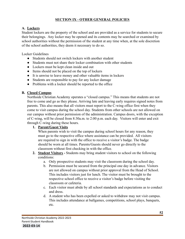### **SECTION IX - OTHER GENERAL POLICIES**

## **A. Lockers**

Student lockers are the property of the school and are provided as a service for students to secure their belongings. Any locker may be opened and its contents may be searched or examined by school authorities without the permission of the student at any time when, at the sole discretion of the school authorities, they deem it necessary to do so.

Locker Guidelines

- Students should not switch lockers with another student
- Students must not share their locker combination with other students
- Lockers must be kept clean inside and out
- Items should not be placed on the top of lockers
- It is unwise to leave money and other valuable items in lockers
- Students are responsible to pay for any locker damage
- Problems with a locker should be reported to the office

## **B. Closed Campus**

Northside Christian Academy operates a "closed campus." This means that students are not free to come and go as they please. Arriving late and leaving early requires signed notes from parents. This also means that all visitors must report to the C-wing office first when they come to visit campus during the school day. Students from other schools are not allowed on our campus without prior permission of the administration. Campus doors, with the exception of C-wing, will be closed from 8:30a.m. to 2:00 p.m. each day. Visitors will enter and exit through C-wing during these hours.

#### **1. Parent/Guest Visits**

When parents wish to visit the campus during school hours for any reason, they must go to the respective office where assistance can be provided. All visitors are required to sign in with the office to receive a visitor's badge. The badge should be worn at all times. Parents/Guests should never go directly to the classroom without first checking in with the office.

- **2. Student Visitors -** Students may bring student visitors to school on the following conditions:
	- a. Only prospective students may visit the classroom during the school day.
	- b. Permission must be secured from the principal one day in advance. Visitors are not allowed on campus without prior approval from the Head of School. This includes visitors just for lunch. The visitor must be brought to the respective school office to receive a visitor's badge before visiting the classroom or cafeteria.
	- c. Each visitor must abide by all school standards and expectations as to conduct and dress.
	- d. A student who has been expelled or asked to withdraw may not visit campus. This includes attendance at ballgames, competitions, school plays, banquets, etc.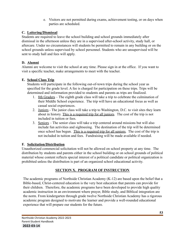e. Visitors are not permitted during exams, achievement testing, or on days when parties are scheduled.

## **C. Loitering/Dismissal**

Students are required to leave the school building and school grounds immediately after dismissal in the afternoon unless they are in a supervised after-school activity, study hall, or aftercare. Under no circumstances will students be permitted to remain in any building or on the school grounds unless supervised by school personnel. Students who are unsupervised will be sent to study hall and fees will apply.

## **D. Alumni**

Alumni are welcome to visit the school at any time. Please sign in at the office. If you want to visit a specific teacher, make arrangements to meet with the teacher.

## **E. School Class Trip**

Students will participate in the following out-of-town trips during the school year as specified for the grade level. A fee is charged for participation on these trips. Trips will be determined and information provided to students and parents as trips are finalized.

- 1. 8th Graders The eighth grade class will take a trip to celebrate the culmination of their Middle School experience. The trip will have an educational focus as well as casual social experiences.
- 2. Juniors The junior class will take a trip to Washington, D.C. to visit sites they learn about in history. This is a required trip for all juniors. The cost of the trip is not included in tuition or fees.
- 3. Seniors The senior class will take a trip centered around missions but will also include fun activities and sightseeing. The destination of the trip will be determined once school has begun. This is a required trip for all seniors. The cost of the trip is not included in tuition and fees. Fundraising will be made available if needed.

## **F. Solicitation/Distribution**

Unauthorized commercial solicitation will not be allowed on school property at any time. The distribution by students and parents either in the school building or on school grounds of political material whose content reflects special interest of a political candidate or political organization is prohibited unless the distribution is part of an organized school educational activity.

# **SECTION X. PROGRAM OF INSTRUCTION**

The academic programs of Northside Christian Academy (K-12) are based upon the belief that a Bible-based, Christ-centered education is the very best education that parents can provide for their children. Therefore, the academic programs have been developed to provide high quality academic instruction in an environment where prayer, Bible study, and Biblical integration are the norm. From kindergarten through grade twelve Northside Christian Academy has a rigorous academic program designed to motivate the learner and provide a well-rounded educational experience that will prepare our students for the future.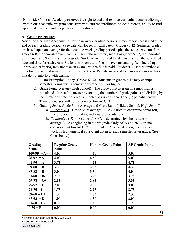Northside Christian Academy reserves the right to add and remove curriculum course offerings within our academic program consistent with current enrollment, student interest, ability to find qualified teachers, and budgetary considerations.

#### **A. Grade Procedures**

Northside Christian Academy has four nine-week grading periods. Grade reports are issued at the end of each grading period. (See calendar for report card dates). Grades (6-12) Semester grades are based upon an average for the two nine-week grading periods, plus the semester exam. For grades 6-8, the semester exam counts 10% of the semester grade. For grades 9-12, the semester exam counts 20% of the semester grade. Students are required to take an exam on the scheduled date and time for each exam. Students who owe any fine or have outstanding fees (including library and cafeteria) may not take an exam until the fine is paid. Students must turn textbooks in before the second semester exams may be taken. Parents are asked to plan vacations on dates that do not interfere with exams.

- 1. Exam Exemption Policy (Grades 6-12) Students in grades 6-12 may exempt semester exams with a semester average of 90 or higher.
- 2. Grade Point Average (High School) The grade point average in senior high is calculated after each semester by totaling the number of grade points and dividing by the number of potential credits. Each class is considered one (1) potential credit. Transfer courses will not be counted toward GPA.
- 3. Grading Scale, Grade Point Average and Class Rank (Middle School, High School)
	- a. *Current GPA* Grade point average (GPA) is used to determine honor roll, Honor Society, eligibility, and award presentations.
	- b. *Cumulative GPA* A student's GPA is determined by their grade point average (GPA) beginning in the  $9<sup>th</sup>$  grade. Only NCA and NCA online courses count toward GPA. The final GPA is based on eight semesters of work with a numerical equivalent given to each semester letter grade. (See Chart below)

| Grading       | <b>Regular Grade</b> | <b>Honors Grade Point</b> | <b>AP Grade Point</b> |
|---------------|----------------------|---------------------------|-----------------------|
| <b>Scale</b>  | Point                |                           |                       |
| $100-99 = A+$ | 4.00                 | 4.50                      | 5.00                  |
| $98-92 = A$   | 4.00                 | 4.50                      | 5.00                  |
| $91-90 = A$   | 3.75                 | 4.25                      | 4.75                  |
| $89-88 = B+$  | 3.33                 | 3.83                      | 4.33                  |
| $87-82 = B$   | 3.00                 | 3.50                      | 4.00                  |
| $81-80 = B$   | 2.75                 | 3.25                      | 3.75                  |
| $79-78 = C+$  | 2.33                 | 2.83                      | 3.33                  |
| $77-72 = C$   | 2.00                 | 2.50                      | 3.00                  |
| $71-70 = C$   | 1.75                 | 2.25                      | 2.75                  |
| $69-68 = D+$  | 1.33                 | 1.83                      | 2.33                  |
| $67-62 = D$   | 1.00                 | 1.50                      | 2.00                  |
| $61-60 = D$   | 0.75                 | 1.25                      | 1.75                  |
| $0-59 = F$    | 0.00                 | 0.00                      | 0.00                  |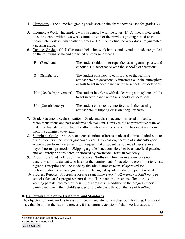- 4. Elementary The numerical grading scale seen on the chart above is used for grades K5 -5.
- 5. Incomplete Work Incomplete work is denoted with the letter "I." An incomplete grade must be cleared within two weeks from the end of the previous grading period or the incomplete work automatically becomes a "0." Completing the work does not guarantee a passing grade.
- 6. Conduct Grades (K-5) Classroom behavior, work habits, and overall attitude are graded on the following scale and are listed on each report card.

| $E = (Excellent)$         | The student seldom interrupts the learning atmosphere, and<br>conduct is in accordance with the school's expectations.                                                              |
|---------------------------|-------------------------------------------------------------------------------------------------------------------------------------------------------------------------------------|
| $S = (Satisfactory)$      | The student consistently contributes to the learning<br>atmosphere but occasionally interferes with the atmosphere<br>or fails to act in accordance with the school's expectations. |
| $N = (Nedes Improvement)$ | The student interferes with the learning atmosphere or fails<br>to act in accordance with the school's expectations.                                                                |
| $U = (Unsatisfactory)$    | The student consistently interferes with the learning<br>atmosphere, disrupting class on a regular basis.                                                                           |

- 7. Grade Placement/Reclassification Grade and class placement is based on faculty recommendations and past academic achievement. However, the administrative team will make the final decision. The only official information concerning placement will come from the administrative team.
- 8. Skipping a Grade A sincere and conscientious effort is made at the time of admission to place students at the proper grade/age level. On occasion, because of a student's good academic performance, parents will request that a student be advanced a grade level beyond normal promotion. Skipping a grade is not considered to be a beneficial practice and will rarely be considered or allowed by Northside Christian Academy.
- 9. Repeating a Grade The administration at Northside Christian Academy does not generally allow a student who has met the requirements for academic promotion to repeat a grade. Exceptions will be made by the administrative team. If approved for reclassification, a reclass agreement will be signed by administration, parent & student.
- 10. Progress Reports Progress reports are sent home every 4 1/2 weeks via RenWeb (See school calendar for progress report dates). These reports are an excellent means of keeping parents informed of their child's progress. In addition to the progress reports, parents may view their child's grades on a daily basis through the use of RenWeb.

## **B. Homework Philosophy, Guidelines, and Standards**

The objective of homework is to assist, improve, and strengthen classroom learning. Homework is a valuable tool in the learning process; it is a natural extension of class work created and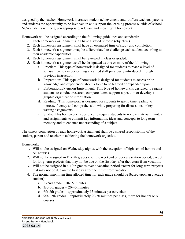designed by the teacher. Homework increases student achievement, and it offers teachers, parents and students the opportunity to be involved in and support the learning process outside of school. NCA students will be given appropriate, relevant and meaningful homework.

Homework will be assigned according to the following guidelines and standards:

- 1. Each homework assignment shall have a stated purpose (objective).
- 2. Each homework assignment shall have an estimated time of study and completion.
- 3. Each homework assignment may be differentiated to challenge each student according to their academic capabilities.
- 4. Each homework assignment shall be reviewed in class or graded.
- 5. Each homework assignment shall be designated as one or more of the following:
	- a. Practice: This type of homework is designed for students to reach a level of self-sufficiency in performing a learned skill previously introduced through previous instruction.
	- b. Preparation: This type of homework is designed for students to access prior knowledge and experiences about a topic to be learned or expanded upon.
	- c. Elaboration/Extension/Enrichment: This type of homework is designed to require students to conduct research, compare items, support a position or develop a graphic organizer of information.
	- d. Reading: This homework is designed for students to spend time reading to increase fluency and comprehension while preparing for discussions or key writing assignments.
	- e. Study: This homework is designed to require students to review material in notes and assignments to commit key information, ideas and concepts to long term memory and to enhance understanding of a subject.

The timely completion of each homework assignment shall be a shared responsibility of the student, parent and teacher in achieving the homework objective.

Homework:

- 1. Will not be assigned on Wednesday nights, with the exception of high school honors and AP courses.
- 2. Will not be assigned in K5-5th grades over the weekend or over a vacation period, except for long-term projects that may not be due on the first day after the return from vacation.
- 3. Will not be assigned in 6-12th grades over a vacation period except for long-term projects that may not be due on the first day after the return from vacation.
- 4. The normal maximum time allotted time for each grade should be (based upon an average student):
	- a. K-2nd grade  $-10$ -15 minutes
	- b. 3rd-5th grades  $-20-40$  minutes
	- c. 6th-8th grades approximately 15 minutes per core class
	- d. 9th-12th grades approximately 20-30 minutes per class, more for honors or AP courses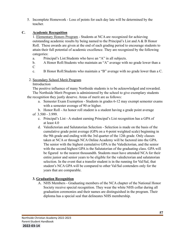5. Incomplete Homework - Loss of points for each day late will be determined by the teacher.

## **C. Academic Recognition**

1. Elementary Honors Program - Students at NCA are recognized for achieving outstanding academic results by being named to the Principal's List and  $A \& B$  Honor Roll. These awards are given at the end of each grading period to encourage students to attain their full potential of academic excellence. They are recognized by the following categories:

- a. Principal's List:Students who have an "A" in all subjects.
- b. A Honor Roll:Students who maintain an "A" average with no grade lower than a  $\mathcal{C}$
- c. B Honor Roll:Students who maintain a "B" average with no grade lower than a C.

### 2. Secondary School Merit Program

#### Introduction

The positive influence of many Northside students is to be acknowledged and rewarded. The Northside Merit Program is administered by the school to give exemplary students the recognition they justly deserve. Areas of merit are as follows:

- a. Semester Exam Exemption Students in grades 6-12 may exempt semester exams with a semester average of 90 or higher.
- b. Honor Roll An honor roll student is a student having a grade point average

## of 3.500 - 3.999.

- c. Principal's List A student earning Principal's List recognition has a GPA of at least 4.0
- d. Valedictorian and Salutatorian Selection Selection is made on the basis of the cumulative grade point average (GPA on a 4-point weighted scale) beginning in the 9th grade and ending with the 3rd quarter of the 12th grade. Only classes taken at NCA or through NCA Online Academy will be factored into the GPA. The senior with the highest cumulative GPA is the Valedictorian, and the senior with the second highest GPA is the Salutatorian of the graduating class. GPA will be figured to the nearest thousandth. Students must have attended NCA for their entire junior and senior years to be eligible for the valedictorian and salutatorian selection. In the event that a transfer student is in the running for Val/Sal, that student's NCA GPA will be compared to other Val/Sal contenders only for the years that are comparable.

## **3. Graduation Recognition**

A. NHS Members - Graduating members of the NCA chapter of the National Honor Society receive special recognition. They wear the white NHS collar during all graduation ceremonies and their names are distinguished in the program. Their diploma has a special seal that delineates NHS membership.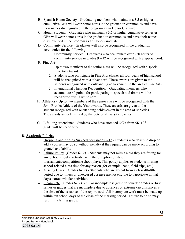- B. Spanish Honor Society Graduating members who maintain a 3.5 or higher cumulative GPA will wear honor cords in the graduation ceremonies and have their names distinguished in the program as an Honor Graduate.
- C. Honor Students Graduates who maintain a 3.5 or higher cumulative semester GPA will wear honor cords in the graduation ceremonies and have their names distinguished in the program as an Honor Graduate.
- D. Community Service Graduates will also be recognized in the graduation ceremonies for the following:

Community Service – Graduates who accumulate over 250 hours of community service in grades 9 – 12 will be recognized with a special cord.

- E. Fine Arts
	- 1. Up to two members of the senior class will be recognized with a special Fine Arts Award.
	- 2. Students who participate in Fine Arts classes all four years of high school will be recognized with a silver cord. These awards are given to the students recognized with outstanding achievement in the area of Fine Arts.
	- 3. International Thespian Recognition Graduating members who accumulate 60 points for participating in speech and drama will be recognized with a white cord.
- F. Athletics Up to two members of the senior class will be recognized with the John Brooks Athlete of the Year awards. These awards are given to the student recognized with outstanding achievement in the area of Athletics. The awards are determined by the vote of all varsity coaches.
- G. Life-long Attendance Students who have attended NCA from 5K-12<sup>th</sup> grade will be recognized.

## **D. Academic Policies**

- 1. Dropping and Adding Subjects for Grades 9-12 Students who desire to drop or add a course may do so without penalty if the request can be made according to granted availability.
- 2. Failure Policy (Grades 6-12) Students may not miss a class they are failing for any extracurricular activity (with the exception of state tournaments/competitions/school play). This policy applies to students missing school-related class time for any reason (for example: band, field trips, etc.).
- 3. Missing Class (Grades 6-12) Students who are absent from a class 4th-8th period due to illness or unexcused absence are not eligible to participate in that day's extracurricular activities.
- 4. Incomplete (Grades 6-12) "I" or incomplete is given for quarter grades or first semester grades that are incomplete due to absences or extreme circumstances at the time of the issuance of the report card. All incomplete work must be made up within ten school days of the close of the marking period. Failure to do so may result in a failing grade.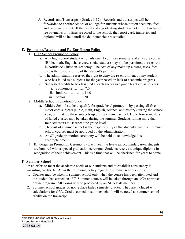5. Records and Transcripts (Grades 6-12) - Records and transcripts will be forwarded to another school or college for students whose tuition accounts, fees and fines are current. If the family of a graduating student is not current in tuition fee payments or if fines are owed to the school, the report card, transcript and diploma will be held until the delinquencies are satisfied.

## **E. Promotion/Retention and Re-Enrollment Policy**

- 1. High School Promotion Policy
	- a. Any high school student who fails one (1) or more semesters of any core course (Bible, math, English, science, social studies) may not be permitted to re-enroll in Northside Christian Academy. The cost of any make-up classes, texts, fees, etc. is the responsibility of the student's parents.
	- b. The administration reserves the right to deny the re-enrollment of any student who has failed two subjects for the year based on lack of academic progress.
	- c. Suggested credits to be classified at each successive grade level are as follows:
		- i. Sophomore………. 7.0
		- ii. Junior……………. 14.0
		- iii. Senior…………… 20.0
- 2. Middle School Promotion Policy
	- a. Middle School students qualify for grade level promotion by passing all five major core subjects (Bible, math, English, science, and history) during the school year, or making these subjects up during summer school. Up to four semesters of failed classes may be taken during the summer. Students failing more than four semesters must repeat the grade level.
	- b. The cost of summer school is the responsibility of the student's parents. Summer school courses must be approved by the administration.
	- c. An 8th grade promotion ceremony will be held to acknowledge this accomplishment.
- 3. Kindergarten Promotion Ceremony Each year the five-year old kindergarten students are honored with a special graduation ceremony. Students receive a unique diploma in recognition of their achievement. This is a time that will be cherished for years to come.

## **F. Summer School**

In an effort to meet the academic needs of our students and to establish consistency in awarding credits, NCA has the following policy regarding summer school credits:

- 1. Courses may be taken in summer school only when the course has been attempted and the student has earned an "F." Summer courses will be taken through an NCA approved online program. All exams will be proctored by an NCA staff member.
- 2. Summer school grades do not replace failed semester grades. They are included with calculations for GPA. Credits earned in summer school will be noted as summer school credits on the transcript.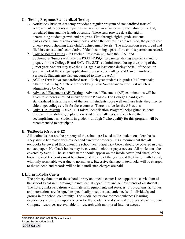## **G. Testing Programs/Standardized Testing**

- **1.** Northside Christian Academy provides a regular program of standardized tests of achievement. Students and parents are notified in advance as to the nature of the test, scheduled time and the length of testing. These tests provide data that aid in determining student growth and progress. First through eighth grade students participate in annual achievement tests. When the test results are returned, the parents are given a report showing their child's achievement levels. The information is recorded and filed in each student's cumulative folder, becoming a part of the child's permanent record.
- 2. College Board Testing In October, Freshman will take the PSAT and Sophomores/Juniors will take the PSAT NMSQT to gain test-taking experience and to prepare for the College Board SAT. The SAT is administered during the spring of the junior year. Seniors may take the SAT again at least once during the fall of the senior year, as part of the college application process. (See College and Career Guidance Services). Students are also encouraged to take the ACT.
- 3. ACT or Terra Nova standardized tests Each year students in grades 9-12 must take either the ACT by March or the weeklong Terra Nova Standardized Test which is administered by NCA.
- 4. Advanced Placement (AP) Testing Advanced Placement (AP) examinations will be given to students enrolled in any of our AP classes. The College Board gives standardized tests at the end of the year. If students score well on these tests, they may be able to get college credit for these courses. There is a fee for the AP exams.
- 5. Duke TIP Program Duke TIP (Talent Identification Program) helps gifted students discover their abilities, explore new academic challenges, and celebrate their accomplishments. Students in grades 4 through 7 who qualify for this program will be recommended to participate.

## **H. Textbooks (Grades 6-12)**

All textbooks that are the property of the school are issued to the student on a loan basis. They should be treated with respect and cared for properly. It is a requirement that all textbooks be covered throughout the school year. Paperback books should be covered in clear contact paper. Hardback books may be covered in cloth or paper covers. All books must be covered by Sept. 1. The student's name should appear on the inside cover (end sheet) of the book. Loaned textbooks must be returned at the end of the year, or at the time of withdrawal, with only reasonable wear due to normal use. Excessive damage to textbooks will be charged to the student, and records will be held until such charges are paid.

## **I. Library/Media Center**

The primary function of the school library and media center is to support the curriculum of the school to aid in improving the intellectual capabilities and achievements of all students. The library links its patrons with materials, equipment, and services. Its programs, activities, and interactions are designed to specifically meet the academic needs of individuals and groups in the school community. The media center environment enhances learning experiences and is built upon concern for the academic and spiritual progress of each student. Computer resources are available for research with monitored Internet access.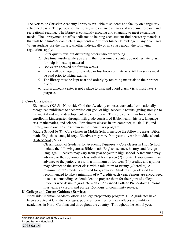The Northside Christian Academy library is available to students and faculty on a regularly scheduled basis. The purpose of the library is to enhance all areas of academic research and recreational reading. The library is constantly growing and changing to meet expanding needs. The library/media staff is dedicated to helping each student find necessary materials that will help him/her complete assignments and further his/her knowledge in any given area. When students use the library, whether individually or in a class group, the following regulations apply:

- 1. Enter quietly without disturbing others who are working.
- 2. Use time wisely while you are in the library/media center; do not hesitate to ask for help in locating materials.
- 3. Books are checked out for two weeks.
- 4. Fines will be charged for overdue or lost books or materials. All fines/fees must be paid prior to taking exams.
- 5. The library must be kept neat and orderly by returning materials to their proper places.
- 6. Library/media center is not a place to visit and avoid class. Visits must have a purpose.

## **J. Core Curriculum**

Elementary (K5-5) - Northside Christian Academy chooses curricula from nationally recognized publishers to accomplish our goal of high academic results, giving strength to the mental and moral development of each student. The core curriculum for students enrolled in kindergarten through fifth grade consists of Bible, health, history, language arts, mathematics, and science. Enrichment classes in art, computer, music, P.E., and library, round out the curriculum in the elementary program.

Middle School (6-8) - Core classes in Middle School include the following areas: Bible, math, English, science, history. Electives may vary from year-to-year in middle school. High School (9-12)

Classification of Students for Academic Purposes - Core classes in High School include the following areas: Bible, math, English, science, history, and foreign language. Electives may vary from year-to-year in high school. A freshman may advance to the sophomore class with at least seven (7) credits. A sophomore may advance to the junior class with a minimum of fourteen (14) credits, and a junior may advance to the senior class with a minimum of twenty (20 credits). A minimum of 27 credits is required for graduation. Students in grades 9-11 are recommended to take a minimum of 6-7 credits each year. Seniors are encouraged to take a demanding academic load to prepare them for the rigors of college. Students who desire to graduate with an Advanced College Preparatory Diploma must earn 29 credits and accrue 150 hours of community service.

## **K. College and Career Guidance Services**

Northside Christian Academy offers a college preparatory program. NCA graduates have been accepted at Christian colleges, public universities, private colleges and military academies in North Carolina and throughout the country. Throughout the school year,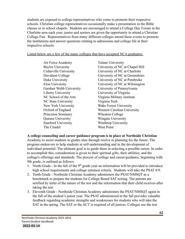students are exposed to college representatives who come to promote their respective schools. Christian college representatives occasionally make a presentation in the Bible classes or in school chapels. Students are encouraged to attend a College Day Forum in the Charlotte area each year; junior and seniors are given the opportunity to attend a Christian College Fair. Representatives from many different colleges attend these events to promote the institutions and answer questions relating to admissions and college life at their respective schools.

### Listed below are a few of the many colleges that have accepted NCA graduates:

Air Force Academy Tulane University Liberty University University of Virginia NC State University Virginia Tech New York University Wake Forest University Princeton Seminary Wheaton College Queens University Wingate University Samford University Winthrop University The Citadel West Point

Baylor University University of NC at Chapel Hill Cedarville University University of NC at Charlotte Davidson College University of NC at Greensboro Duke University University of NC at Pembroke Elon University University of NC at Wilmington Gardner Webb University University of Pennsylvania NC School of the Arts Virginia Military institute Oxford of England Western Carolina University

## **A college counseling and career guidance program is in place at Northside Christian**

Academy to assist students in grades nine through twelve in planning for the future. The program endeavors to help students in self-understanding and in the development of individual potential. The ultimate goal is to guide them in selecting a possible career. In order to accomplish this, consideration is given to their spiritual gifts, their abilities, and the college's offerings and standards. The process of college and career/guidance, beginning with 9th grade, is outlined as follows:

- 1. Ninth Grade In the fall of the  $9<sup>th</sup>$  grade year an information will be provided to introduce high school requirements and college entrance criteria. Students will take the PSAT 8/9.
- 2. Tenth Grade Northside Christian Academy administers the PSAT/NMSQT as a benchmark to prepare the students for College Board SAT testing. The parents are notified by letter of the nature of the test and the information that their child receives after taking the test.
- 3. Eleventh Grade Northside Christian Academy administers the PSAT/NMSQT again in the fall of the student's junior year. The PSAT administered in the fall provides valuable feedback regarding academic strengths and weaknesses for students who will take the SAT in the spring. The SAT or the ACT is required of all juniors. Colleges use the test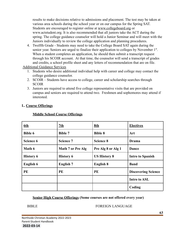results to make decisions relative to admissions and placement. The test may be taken at various area schools during the school year or on our campus for the Spring SAT. Students are encouraged to register online at [www.collegeboard.org](http://www.collegeboard.org) or www.actstudent.org. It is also recommended that all juniors take the ACT during the spring. The college guidance counselor will hold a Junior Seminar and will meet with the Juniors individually to review the college application and planning procedures.

4. Twelfth Grade - Students may need to take the College Board SAT again during the senior year. Seniors are urged to finalize their application to colleges by November 1<sup>st</sup>. When a student completes an application, he should then submit a transcript request through his SCOIR account. At that time, the counselor will send a transcript of grades and credits, a school profile sheet and any letters of recommendation that are on file.

Additional Guidance Services

- 1. Students who desire additional individual help with career and college may contact the college guidance counselor.
- 2. SCOIR Students have access to college, career and scholarship searches through SCOIR
- 3. Juniors are required to attend five college representative visits that are provided on campus and seniors are required to attend two. Freshmen and sophomores may attend if interested.

#### **L. Course Offerings**

| 6th              | 7th                      | 8th                 | <b>Electives</b>           |
|------------------|--------------------------|---------------------|----------------------------|
| <b>Bible 6</b>   | <b>Bible 7</b>           | <b>Bible 8</b>      | Art                        |
| Science 6        | <b>Science 7</b>         | <b>Science 8</b>    | <b>Drama</b>               |
| Math 6           | <b>Math 7 or Pre Alg</b> | Pre Alg 8 or Alg 1  | Dance                      |
| <b>History 6</b> | <b>History 6</b>         | <b>US History 8</b> | <b>Intro to Spanish</b>    |
| English 6        | <b>English 7</b>         | <b>English 8</b>    | <b>Band</b>                |
| PE               | PE                       | PE                  | <b>Discovering Science</b> |
|                  |                          |                     | <b>Intro to ASL</b>        |
|                  |                          |                     | Coding                     |

#### **Middle School Course Offerings**

#### **Senior High Course Offerings (Some courses are not offered every year)**

#### BIBLE FOREIGN LANGUAGE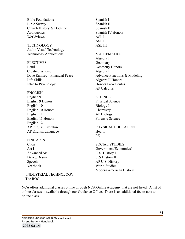Bible Foundations Bible Survey Church History & Doctrine Apologetics Worldviews

TECHNOLOGY Audio Visual Technology Technology Applications

**ELECTIVES** Band Creative Writing Dave Ramsey - Financial Peace Life Skills Intro to Psychology

ENGLISH

English 9 English 9 Honors English 10 English 10 Honors English 11 English 11 Honors English 12 AP English Literature AP English Language

FINE ARTS Choir Art I Advanced Art Dance/Drama Speech Yearbook

Spanish I Spanish II Spanish III Spanish IV Honors ASL I ASL II ASL III

MATHEMATICS Algebra I **Geometry** Geometry Honors Algebra II Advance Functions & Modeling Algebra II Honors Honors Pre-calculus AP Calculus

**SCIENCE** Physical Science Biology I **Chemistry** AP Biology Forensic Science

PHYSICAL EDUCATION Health PE

SOCIAL STUDIES Government/Economics1 U.S. History I U.S History II AP U.S. History World Studies Modern American History

INDUSTRIAL TECHNOLOGY The ROC

NCA offers additional classes online through NCA Online Academy that are not listed. A list of online classes is available through our Guidance Office. There is an additional fee to take an online class.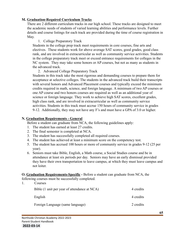### **M. Graduation-Required Curriculum Tracks**

There are 2 different curriculum tracks in our high school. These tracks are designed to meet the academic needs of students of varied learning abilities and performance levels. Further details and course listings for each track are provided during the time of course registration in May.

1. College Preparatory Track

Students in the college prep track meet requirements in core courses, fine arts and electives. These students work for above average SAT scores, good grades, good class rank, and are involved in extracurricular as well as community service activities. Students in the college preparatory track meet or exceed entrance requirements for colleges in the NC system. They may take some honors or AP courses, but not as many as students in the advanced track.

2. Advanced College Preparatory Track

Students in this track take the most rigorous and demanding courses to prepare them for acceptance at selective colleges. The students in the advanced track build their transcripts with several honors and Advanced Placement courses and typically exceed the minimum credits required in math, science, and foreign language. A minimum of two AP courses or one AP course and two honors courses are required as well as an additional year of science or foreign language. They work to achieve high SAT scores, excellent grades, high class rank, and are involved in extracurricular as well as community service activities. Students in this track must accrue 150 hours of community service in grades 9-12. Additionally, they may not have any F's and must have a GPA of 3.0 or higher.

## **N. Graduation Requirements - General**

Before a student can graduate from NCA, the following guidelines apply:

- 1. The student has earned at least 27 credits.
- 2. The final semester is completed at NCA.
- 3. The student has successfully completed all required courses.
- 4. The student has achieved at least a minimum score on the competency test.
- 5. The student has accrued 100 hours or more of community service in grades 9-12 (25 per year).
- 6. Seniors must take Bible, English, a Math course, a Social Studies course and be in attendance at least six periods per day. Seniors may have an early dismissal provided they have their own transportation to leave campus, at which they must leave campus and not loiter.

**O. Graduation Requirements-Specific -** Before a student can graduate from NCA, the following courses must be successfully completed.

| Courses                                      |           |
|----------------------------------------------|-----------|
| Bible (1 unit per year of attendance at NCA) | 4 credits |
| English                                      | 4 credits |
| Foreign Language (same language)             | 2 credits |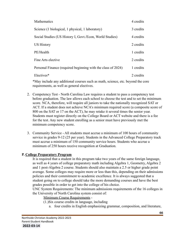| <b>Mathematics</b>                                           | 4 credits |
|--------------------------------------------------------------|-----------|
| Science (1 biological, 1 physical, 1 laboratory)             | 3 credits |
| Social Studies (US History I, Govt./Econ, World Studies)     | 4 credits |
| <b>US History</b>                                            | 2 credits |
| PE/Health                                                    | 1 credits |
| Fine Arts elective                                           | 2 credits |
| Personal Finance (required beginning with the class of 2024) | 1 credits |
| Electives*                                                   | 2 credits |

\*May include any additional courses such as math, science, etc. beyond the core requirements, as well as general electives.

- 2. Competency Test North Carolina Law requires a student to pass a competency test before graduation. The law allows each school to choose the test and to set the minimum score. NCA, therefore, will require all juniors to take the nationally recognized SAT or ACT. If a student does not achieve NCA's minimum required score (a composite score of 800 on the SAT or 17 on the ACT), he may retake it several times the senior year. Students must register directly on the College Board or ACT website and there is a fee for the test. Any new student enrolling as a senior must have previously met the minimum competency score.
- 3. Community Service All students must accrue a minimum of 100 hours of community service in grades 9-12 (25 per year). Students in the Advanced College Preparatory track must accrue a minimum of 150 community service hours. Students who accrue a minimum of 250 hours receive recognition at Graduation.

#### **P. College Preparatory Program**

It is required that a student in this program take two years of the same foreign language, as well as 4 years of college preparatory math including Algebra 1, Geometry, Algebra 2 and 1 post-Algebra 2 course. Students should also maintain a 2.5 or higher grade point average. Some colleges may require more or less than this, depending on their admissions policies and their commitment to academic excellence. It is always suggested that a student going on to college should take the more demanding courses and have the best grades possible in order to get into the college of his choice.

UNC System Requirements: The minimum admissions requirements of the 16 colleges in the University of North Carolina system consist of:

Minimum Course Requirements -

(1.)Six course credits in language, including

a. four credits in English emphasizing grammar, composition, and literature,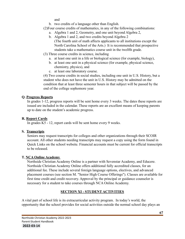and

- b. two credits of a language other than English.
- (2)Four course credits of mathematics, in any of the following combinations:
	- a. Algebra 1 and 2, Geometry, and one unit beyond Algebra 2,
	- b. Algebra 1 and 2, and two credits beyond Algebra 2 (The fourth unit of math affects applicants to all institutions except the North Carolina School of the Arts.) It is recommended that prospective students take a mathematics course unit in the twelfth grade.
- (3) Three course credits in science, including
	- a. at least one unit in a life or biological science (for example, biology),
		- b. at least one unit in a physical science (for example, physical science, chemistry, physics), and
		- c. at least one laboratory course.

(4) Two course credits in social studies, including one unit in U.S. History, but a student who does not have the unit in U.S. History may be admitted on the condition that at least three semester hours in that subject will be passed by the end of the college sophomore year.

## **Q. Progress Reports**

In grades 1-12, progress reports will be sent home every 3 weeks. The dates these reports are issued are included in the calendar. These reports are an excellent means of keeping parents up to date on the student's academic progress.

# **R. Report Cards**

In grades K5 - 12, report cards will be sent home every 9 weeks.

## **S. Transcripts**

Seniors may request transcripts for colleges and other organizations through their SCOIR account. All other students needing transcripts may request a copy using the form found in Quick Links on the school website. Financial accounts must be current for official transcripts to be released.

## **T. NCA Online Academy**

Northside Christian Academy Online is a partner with Sevenstar Academy, and Educere. Northside Christian Academy Online offers additional fully accredited classes, for an additional fee. These include several foreign language options, electives, and advanced placement courses (see section M. "Senior High Course Offerings"). Classes are available for first time credit and credit recovery. Approval by the principal or guidance counselor is necessary for a student to take courses through NCA Online Academy.

# **SECTION XI - STUDENT ACTIVITIES**

A vital part of school life is its extracurricular activity program. In today's world, the opportunity that the school provides for social activities outside the normal school day plays an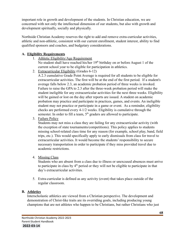important role in growth and development of the students. In Christian education, we are concerned with not only the intellectual dimension of our students, but also with growth and development spiritually, socially and physically.

Northside Christian Academy reserves the right to add and remove extra-curricular activities, athletic and non-athletic, consistent with our current enrollment, student interest, ability to find qualified sponsors and coaches, and budgetary considerations.

## **A. Eligibility Requirements**

1. Athletic Eligibility/Age Requirement

No student shall have reached his/her  $19<sup>th</sup>$  birthday on or before August 1 of the current school year to be eligible for participation in athletics.

2. Extracurricular Eligibility (Grades 6-12)

A 2.3 cumulative Grade Point Average is required for all students to be eligible for extracurricular activities. The first will be at the end of the first period. If a student's average falls below 2.3, an academic probation period of three weeks is invoked. Failure to raise the GPA to 2.3 after the three-week probation period will make the student ineligible for any extracurricular activities for the next three weeks. Eligibility will be gained or lost on the day after reports are issued. A student on academic probation may practice and participate in practices, games, and events. An ineligible student may not practice or participate in a game or event. As a reminder, eligibility checks are performed every 4-1/2 weeks. Eligibility is cumulative through the semester. In order to fill a team,  $5<sup>th</sup>$  graders are allowed to participate.

## 3. Failure Policy

Students may not miss a class they are failing for any extracurricular activity (with the exception of state tournaments/competitions). This policy applies to students missing school-related class time for any reason (for example, school play, band, field trips, etc.). This would specifically apply to early dismissals from class for travel to extracurricular activities. It would become the students' responsibility to secure necessary transportation in order to participate if they miss provided travel due to academic restrictions.

## 4. Missing Class

Students who are absent from a class due to illness or unexcused absences must arrive to participate in class by  $4<sup>th</sup>$  period or they will not be eligible to participate in that day's extracurricular activities.

5. Extra-curricular is defined as any activity (event) that takes place outside of the regular classroom.

## **B. Athletics**

Interscholastic athletics are viewed from a Christian perspective. The development and demonstration of Christ-like traits are its overriding goals, including producing young champions that are not athletes who happen to be Christians, but rather Christians who just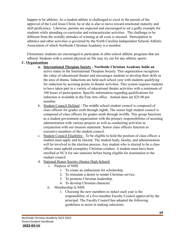happen to be athletes. As a student-athlete is challenged to excel in the pursuit of the approval of the Lord Jesus Christ, he or she is also to move toward emotional maturity and skill proficiency. Likewise, parents are expected and encouraged to set a godly example for students while attending co-curricular and extracurricular activities. The challenge to be different from the worldly attitudes of winning at all costs is stressed. Participation in athletics and other activities is governed by the North Carolina Independent Schools Athletic Association of which Northside Christian Academy is a member.

Elementary students are encouraged to participate in after-school athletic programs that are offered. Students with a current physical on file may try out for any athletic sports.

### **C. Organizations**

- **a. International Thespian Society Northside Christian Academy holds an** active status in the International Thespian Society. This organization recognizes the value of educational theater and encourages students to develop their skills in the area of drama. Inductions are held each school year with students qualifying for induction by accruing points in theater activities. This system requires students to have taken part in a variety of educational theater activities with a minimum of 100 hours of participation. Specific information regarding qualifications for induction is available in the Fine Arts office. Annual dues are \$25.00 per member.
- b. Student Council Defined The middle school student council is composed of class officers for grades sixth through eighth. The senior high student council is composed of class officers for grades ninth through twelfth. This group functions as a student government organization with the primary responsibilities of assisting administration with various projects as well as conducting activities in conjunction with our mission statement. Senior class officers function as executive members of the student council.
- c. Student Council Eligibility To be eligible to hold the position of class officer, a student must apply and be elected. The student body, faculty, and administration will be involved in the election process. Any student who is elected to be a class officer must uphold exemplary Christian conduct. A student must have been enrolled at NCA for one semester before being eligible for nomination to the student council.
- d. National Honor Society (Senior High School)
	- i. Purpose of NHS
		- 1. To create an enthusiasm for scholarship.
		- 2. To stimulate a desire to render Christian service.
		- 3. To promote Christian leadership.
		- 4. To develop Christian character.
	- ii. Membership in NHS
		- 1. Choosing the new members to induct each year is the responsibility of a five-member Faculty Council approved by the principal. The Faculty Council has adopted the following guidelines to assist in making selections: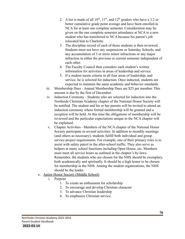- 2. A list is made of all  $10^{th}$ ,  $11^{th}$ , and  $12^{th}$  graders who have a 3.2 or better cumulative grade point average and have been enrolled in NCA for at least one complete semester. Consideration may be given on the one complete semester attendance at NCA to a new student who has transferred to NCA because his parent's job relocated him to Charlotte.
- 3. The discipline record of each of those students is then reviewed. Students must not have any suspensions or Saturday Schools, and any accumulation of 3 or more minor infractions or any major infraction in either the previous or current semester independent of each other.
- 4. The Faculty Council then considers each student's written information for activities in areas of leadership and service.
- 5. If a student meets criteria in all four areas of leadership, and service, he is selected for induction. Once inducted, students are expected to maintain the same academic and behavior standards.
- iii. Membership Dues Annual Membership Dues are \$25 per member. This amount is due by the first of December.
- iv. Induction Ceremony Students who are selected for induction into the Northside Christian Academy chapter of the National Honor Society will be notified. The student and his or her parents will be invited to attend an induction ceremony where formal membership will be granted and a reception will be held. At this time the obligations of membership will be reviewed and the particular expectations unique to the NCA chapter will be explained.
- v. Chapter Activities Members of the NCA chapter of the National Honor Society participate in several activities. In addition to monthly meetings (and others as necessary), students fulfill both individual and group service project requirements. For example, one of their primary roles is to assist with safety patrol in the after-school traffic. They also serve as helpers at many school functions including Open House, etc. Members must meet all service hours as outlined in the chapter's by-laws. Remember, the students who are chosen for the NHS should be exemplary, both academically and spiritually. It should be a high honor to be chosen for membership in the NHS. Among the student organizations, the NHS should be the leader.
- e. Junior Honor Society (Middle School)
	- i. Purpose
		- 1. To create an enthusiasm for scholarship
		- 2. To encourage and develop Christian character
		- 3. To advance Christian leadership
		- 4. To emphasize Christian service.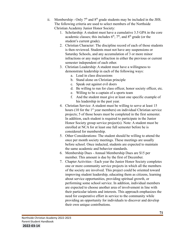- ii. Membership Only  $7<sup>th</sup>$  and  $8<sup>th</sup>$  grade students may be included in the JHS. The following criteria are used to select members of the Northside Christian Academy Junior Honor Society:
	- 1. Scholarship: A student must have a cumulative 3.5 GPA in the core academic classes; this includes  $6<sup>th</sup>$ ,  $7<sup>th</sup>$ , and  $8<sup>th</sup>$  grade (or the student's current grade).
	- 2. Christian Character: The discipline record of each of those students is then reviewed. Students must not have any suspensions or Saturday Schools, and any accumulation of 3 or more minor infractions or any major infraction in either the previous or current semester independent of each other.
	- 3. Christian Leadership: A student must have a willingness to demonstrate leadership in each of the following ways:
		- a. Lead in class discussions
		- b. Stand alone on Christian principle
		- c. Speak out against evil doers
		- d. Be willing to run for class officer, honor society officer, etc.
		- e. Willing to be a captain of a sports team
		- f. And the student must give at least one specific example of his leadership in the past year.
	- 4. Christian Service: A student must be willing to serve at least 15 hours (10 for the  $1<sup>st</sup>$  year members) on individual Christian service projects; 5 of those hours must be completed in the first semester. In addition, each student is required to participate in the Junior Honor Society group service project(s). Note: A student must be enrolled at NCA for at least one full semester before he is considered for membership.
	- 5. Other Considerations: The student should be willing to attend the once per month society meetings. These meetings are usually before school. Once inducted, students are expected to maintain the same academic and behavior standards.
	- 6. Membership Dues Annual Membership Dues are \$15 per member. This amount is due by the first of December.
	- 7. Chapter Activities Each year the Junior Honor Society completes one or more community service projects in which all the members of the society are involved. This project could be oriented toward improving student leadership, educating them as citizens, learning about service opportunities, providing spiritual growth, or performing some school service. In addition, individual members are expected to choose another area of involvement in line with their particular talents and interests. This approach emphasizes the need for cooperative effort in service to the community while providing an opportunity for individuals to discover and develop their own unique contributions.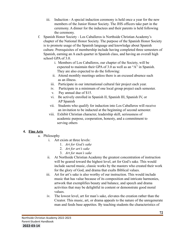- iii. Induction A special induction ceremony is held once a year for the new members of the Junior Honor Society. The JHS officers take part in the ceremony. A dinner for the inductees and their parents is held following the ceremony.
- f. Spanish Honor Society Los Caballeros is Northside Christian Academy's chapter of the National Honor Society. The purpose of the Spanish Honor Society is to promote usage of the Spanish language and knowledge about Spanish culture. Prerequisites of membership include having completed three semesters of Spanish, earning an A each quarter in Spanish class, and having an overall high school GPA of 3.0.
	- i. Members of Los Caballeros, our chapter of the Society, will be expected to maintain their GPA of 3.0 as well as an "A" in Spanish. They are also expected to do the following:
	- ii. Attend monthly meetings unless there is an excused absence such as an illness.
	- iii. Participate in our international cultural fair project each year.
	- iv. Participate in a minimum of one local group project each semester.
	- v. Pay annual due of \$15.
	- vi. Be actively enrolled in Spanish II, Spanish III, Spanish IV, or AP Spanish
	- vii. Students who qualify for induction into Los Caballeros will receive an invitation to be inducted at the beginning of second semester.
	- viii. Exhibit Christian character, leadership skill, seriousness of academic purpose, cooperation, honesty, and a commitment to serving others

### **4. Fine Arts**

- a. Philosophy
	- i. Art exists at three levels:
		- 1. *Art for God's sake*
		- 2. *Art for art's sake*
		- 3. *Art for man's sake*
	- ii. At Northside Christian Academy the greatest concentration of instruction will be geared toward the highest level, art for God's sake. This would include sacred music, classic works by the masters who created their work for the glory of God, and drama that exalts Biblical values.
	- iii. Art for art's sake is also worthy of our instruction. This would include music that has value because of its composition and intricate harmonies, artwork that exemplifies beauty and balance, and speech and drama activities that may be delightful in content or demonstrate good moral values.
	- iv. The lowest level, art for man's sake, elevates the creation rather than the Creator. This music, art, or drama appeals to the nature of the unregenerate man and feeds base appetites. By teaching students the characteristics of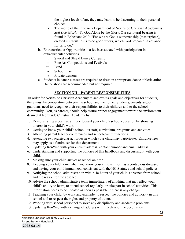the highest levels of art, they may learn to be discerning in their personal choices.

- v. The motto of the Fine Arts Department of Northside Christian Academy is *Soli Deo Gloria:* To God Alone be the Glory. Our scriptural bearing is found in Ephesians 2:10, "For we are God's workmanship (masterpiece), created in Christ Jesus to do good works, which God prepared in advance for us to do."
- b. Extracurricular Opportunities a fee is associated with participation in extracurricular activities
	- i. Sword and Shield Dance Company
	- ii. Fine Art Competitions and Festivals
	- iii. Band
	- iv. School Play
	- v. Private Lessons
- c. Students in dance classes are required to dress in appropriate dance athletic attire. Dance shoes are recommended but not required.

## **SECTION XII – PARENT RESPONSIBILITIES**

In order for Northside Christian Academy to achieve its goals and objectives for students, there must be cooperation between the school and the home. Students, parents and/or guardians need to recognize their responsibilities to their children and to the school community. You, as parents, should help assure proper engagement toward the environment desired at Northside Christian Academy by:

- 1. Demonstrating a positive attitude toward your child's school education by showing interest in your child's work.
- 2. Getting to know your child's school, its staff, curriculum, programs and activities.
- 3. Attending parent teacher conferences and school-parent functions.
- 4. Attending extracurricular activities in which your child may participate. Entrance fees may apply as a fundraiser for that department.
- 5. Updating RenWeb with your current address, contact number and email address.
- 6. Understanding and supporting the policies of this handbook and discussing it with your child.
- 7. Making sure your child arrives at school on time.
- 8. Keeping your child home when you know your child is ill or has a contagious disease, and having your child immunized, consistent with the NC Statutes and school policies.
- 9. Notifying the school administration within 48 hours of your child's absence from school and the reason for the absence.
- 10. Advise the school administrative team immediately of anything that may affect your child's ability to learn, to attend school regularly, or take part in school activities. This information needs to be updated as soon as possible if there is any change.
- 11. Teaching your child, by work and example, to respect the policies and authority in this school and to respect the rights and property of others.
- 12. Working with school personnel to solve any disciplinary and academic problems.
- 13. Updating RenWeb with a change of address within 5 days of the occurrence.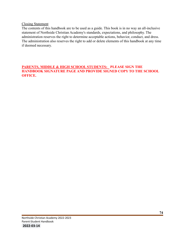#### Closing Statement

The contents of this handbook are to be used as a guide. This book is in no way an all-inclusive statement of Northside Christian Academy's standards, expectations, and philosophy. The administration reserves the right to determine acceptable actions, behavior, conduct, and dress. The administration also reserves the right to add or delete elements of this handbook at any time if deemed necessary.

#### **PARENTS, MIDDLE & HIGH SCHOOL STUDENTS: PLEASE SIGN THE HANDBOOK SIGNATURE PAGE AND PROVIDE SIGNED COPY TO THE SCHOOL OFFICE.**